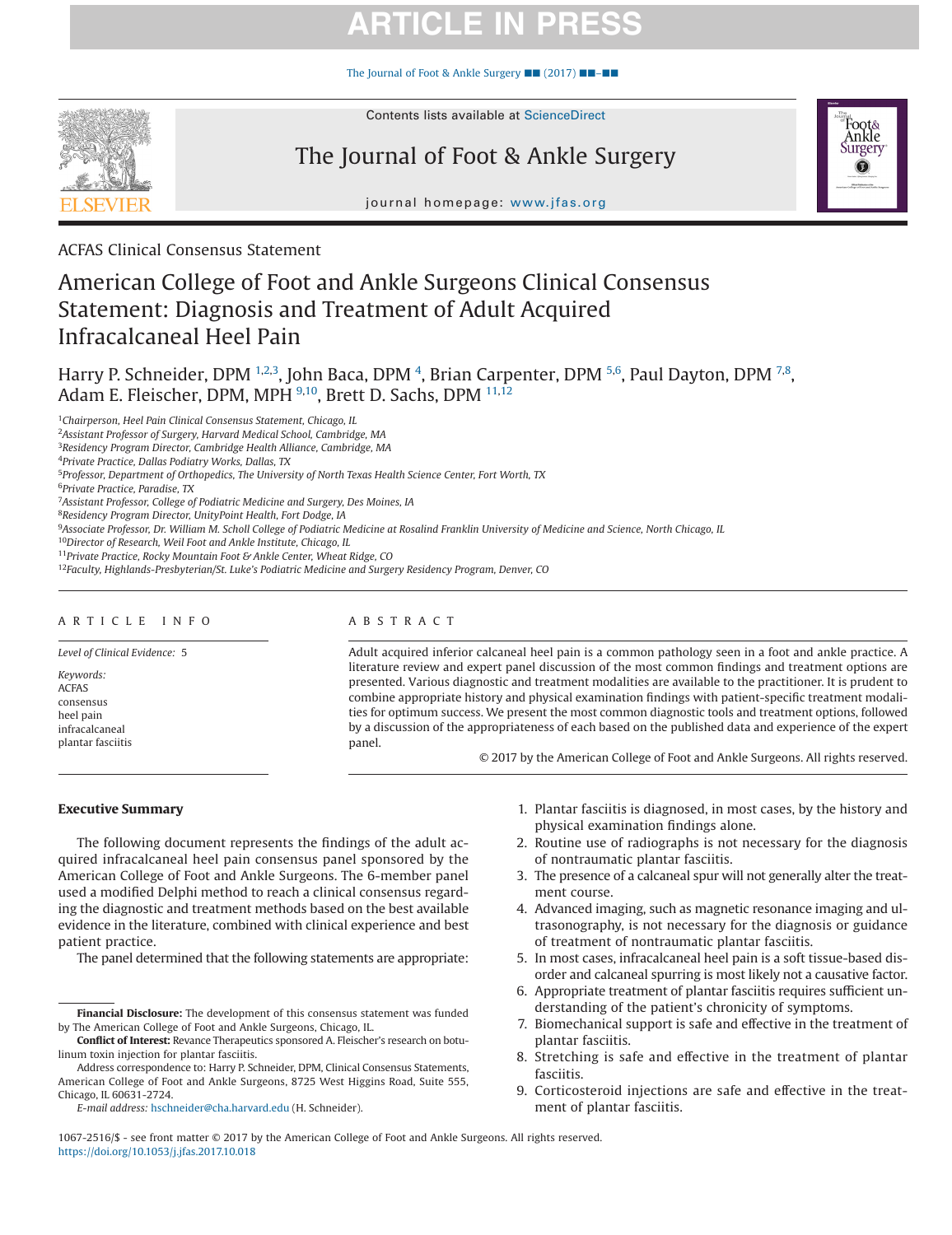[The Journal of Foot & Ankle Surgery](https://doi.org/10.1053/j.jfas.2017.10.018) ■■ (2017) ■■–■■



Contents lists available at ScienceDirect

### The Journal of Foot & Ankle Surgery



journal homepage: [www.jfas.org](http://www.jfas.org)

ACFAS Clinical Consensus Statement

### American College of Foot and Ankle Surgeons Clinical Consensus Statement: Diagnosis and Treatment of Adult Acquired Infracalcaneal Heel Pain

Harry P. Schneider, DPM [1,](#page-0-0)[2,](#page-0-1)[3](#page-0-2), John Baca, DPM <sup>[4](#page-0-3)</sup>, Brian Carpenter, DPM <sup>[5](#page-0-4)[,6](#page-0-5)</sup>, Paul Dayton, DPM <sup>[7](#page-0-6)[,8](#page-0-7)</sup>, Adam E. Fleischer, DPM, MPH<sup>[9](#page-0-8),10</sup>, Brett D. Sachs, DPM<sup>[11,](#page-0-10)[12](#page-0-11)</sup>

<span id="page-0-0"></span><sup>1</sup>*Chairperson, Heel Pain Clinical Consensus Statement, Chicago, IL*

<span id="page-0-1"></span><sup>2</sup>*Assistant Professor of Surgery, Harvard Medical School, Cambridge, MA*

<span id="page-0-2"></span><sup>3</sup>*Residency Program Director, Cambridge Health Alliance, Cambridge, MA*

<span id="page-0-3"></span><sup>4</sup>*Private Practice, Dallas Podiatry Works, Dallas, TX*

<span id="page-0-4"></span><sup>5</sup>*Professor, Department of Orthopedics, The University of North Texas Health Science Center, Fort Worth, TX*

<span id="page-0-5"></span><sup>6</sup>*Private Practice, Paradise, TX*

<span id="page-0-6"></span><sup>7</sup>*Assistant Professor, College of Podiatric Medicine and Surgery, Des Moines, IA*

<span id="page-0-7"></span><sup>8</sup>*Residency Program Director, UnityPoint Health, Fort Dodge, IA*

<span id="page-0-8"></span><sup>9</sup>*Associate Professor, Dr. William M. Scholl College of Podiatric Medicine at Rosalind Franklin University of Medicine and Science, North Chicago, IL*

<span id="page-0-9"></span><sup>10</sup>*Director of Research, Weil Foot and Ankle Institute, Chicago, IL*

<span id="page-0-10"></span><sup>11</sup>*Private Practice, Rocky Mountain Foot & Ankle Center, Wheat Ridge, CO*

<span id="page-0-11"></span><sup>12</sup>*Faculty, Highlands-Presbyterian/St. Luke's Podiatric Medicine and Surgery Residency Program, Denver, CO*

#### ARTICLE INFO

*Level of Clinical Evidence:* 5 *Keywords:* ACFAS

consensus heel pain infracalcaneal plantar fasciitis

### ABSTRACT

Adult acquired inferior calcaneal heel pain is a common pathology seen in a foot and ankle practice. A literature review and expert panel discussion of the most common findings and treatment options are presented. Various diagnostic and treatment modalities are available to the practitioner. It is prudent to combine appropriate history and physical examination findings with patient-specific treatment modalities for optimum success. We present the most common diagnostic tools and treatment options, followed by a discussion of the appropriateness of each based on the published data and experience of the expert panel.

© 2017 by the American College of Foot and Ankle Surgeons. All rights reserved.

#### **Executive Summary**

The following document represents the findings of the adult acquired infracalcaneal heel pain consensus panel sponsored by the American College of Foot and Ankle Surgeons. The 6-member panel used a modified Delphi method to reach a clinical consensus regarding the diagnostic and treatment methods based on the best available evidence in the literature, combined with clinical experience and best patient practice.

The panel determined that the following statements are appropriate:

*E-mail address:* [hschneider@cha.harvard.edu](mailto:hschneider@cha.harvard.edu) (H. Schneider).

- 1. Plantar fasciitis is diagnosed, in most cases, by the history and physical examination findings alone.
- 2. Routine use of radiographs is not necessary for the diagnosis of nontraumatic plantar fasciitis.
- 3. The presence of a calcaneal spur will not generally alter the treatment course.
- 4. Advanced imaging, such as magnetic resonance imaging and ultrasonography, is not necessary for the diagnosis or guidance of treatment of nontraumatic plantar fasciitis.
- 5. In most cases, infracalcaneal heel pain is a soft tissue-based disorder and calcaneal spurring is most likely not a causative factor.
- 6. Appropriate treatment of plantar fasciitis requires sufficient understanding of the patient's chronicity of symptoms.
- 7. Biomechanical support is safe and effective in the treatment of plantar fasciitis.
- 8. Stretching is safe and effective in the treatment of plantar fasciitis.
- 9. Corticosteroid injections are safe and effective in the treatment of plantar fasciitis.

1067-2516/\$ - see front matter © 2017 by the American College of Foot and Ankle Surgeons. All rights reserved. https://doi.org/10.1053/j.jfas.2017.10.018

**Financial Disclosure:** The development of this consensus statement was funded by The American College of Foot and Ankle Surgeons, Chicago, IL.

**Conflict of Interest:** Revance Therapeutics sponsored A. Fleischer's research on botulinum toxin injection for plantar fasciitis.

Address correspondence to: Harry P. Schneider, DPM, Clinical Consensus Statements, American College of Foot and Ankle Surgeons, 8725 West Higgins Road, Suite 555, Chicago, IL 60631-2724.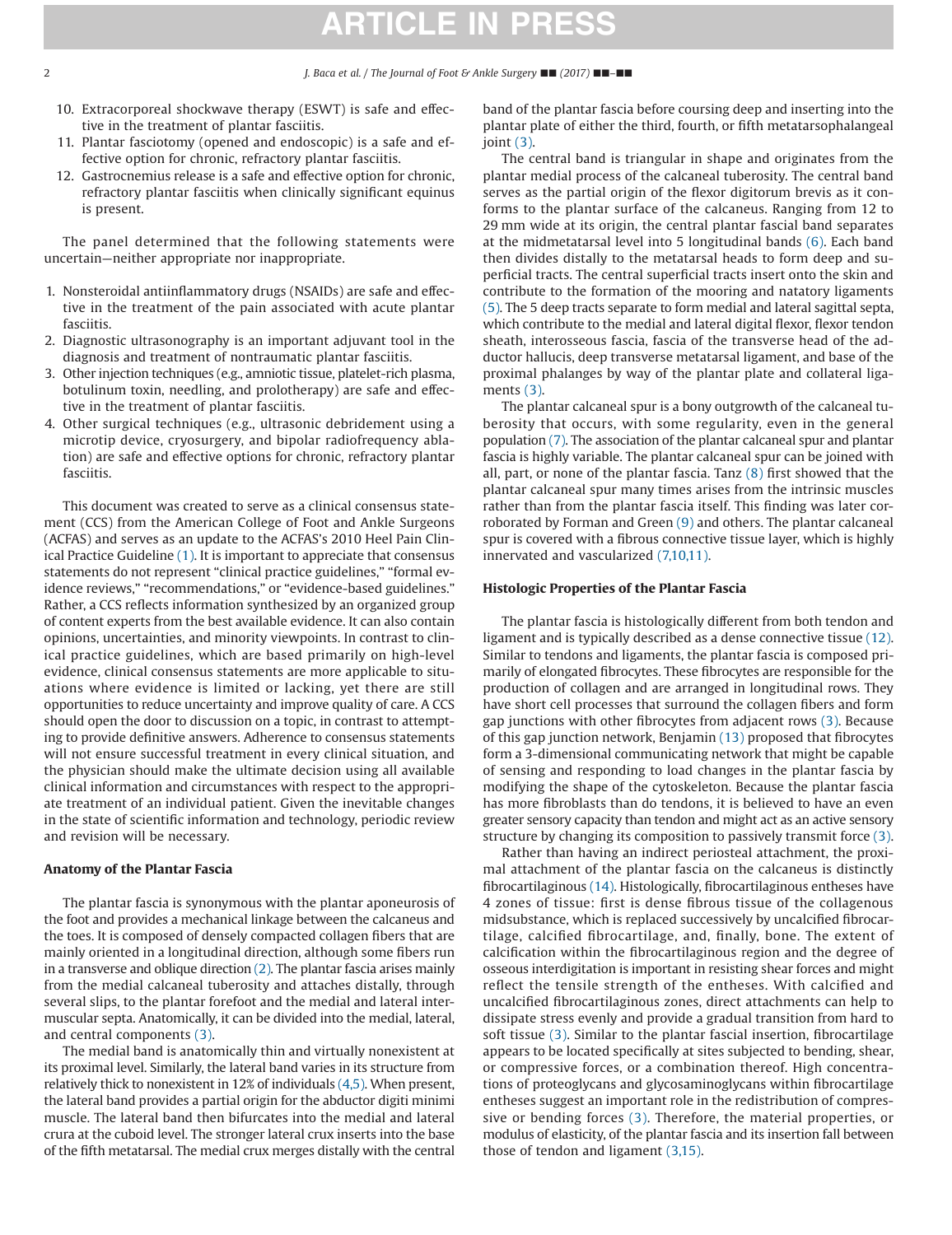### 2 *J. Baca et al. / The Journal of Foot & Ankle Surgery* ■■ *(2017)* ■■*–*■■

- 10. Extracorporeal shockwave therapy (ESWT) is safe and effective in the treatment of plantar fasciitis.
- 11. Plantar fasciotomy (opened and endoscopic) is a safe and effective option for chronic, refractory plantar fasciitis.
- 12. Gastrocnemius release is a safe and effective option for chronic, refractory plantar fasciitis when clinically significant equinus is present.

The panel determined that the following statements were uncertain—neither appropriate nor inappropriate.

- 1. Nonsteroidal antiinflammatory drugs (NSAIDs) are safe and effective in the treatment of the pain associated with acute plantar fasciitis.
- 2. Diagnostic ultrasonography is an important adjuvant tool in the diagnosis and treatment of nontraumatic plantar fasciitis.
- 3. Other injection techniques (e.g., amniotic tissue, platelet-rich plasma, botulinum toxin, needling, and prolotherapy) are safe and effective in the treatment of plantar fasciitis.
- 4. Other surgical techniques (e.g., ultrasonic debridement using a microtip device, cryosurgery, and bipolar radiofrequency ablation) are safe and effective options for chronic, refractory plantar fasciitis.

This document was created to serve as a clinical consensus statement (CCS) from the American College of Foot and Ankle Surgeons (ACFAS) and serves as an update to the ACFAS's 2010 Heel Pain Clinical Practice Guideline [\(1\).](#page-9-0) It is important to appreciate that consensus statements do not represent "clinical practice guidelines," "formal evidence reviews," "recommendations," or "evidence-based guidelines." Rather, a CCS reflects information synthesized by an organized group of content experts from the best available evidence. It can also contain opinions, uncertainties, and minority viewpoints. In contrast to clinical practice guidelines, which are based primarily on high-level evidence, clinical consensus statements are more applicable to situations where evidence is limited or lacking, yet there are still opportunities to reduce uncertainty and improve quality of care. A CCS should open the door to discussion on a topic, in contrast to attempting to provide definitive answers. Adherence to consensus statements will not ensure successful treatment in every clinical situation, and the physician should make the ultimate decision using all available clinical information and circumstances with respect to the appropriate treatment of an individual patient. Given the inevitable changes in the state of scientific information and technology, periodic review and revision will be necessary.

### **Anatomy of the Plantar Fascia**

The plantar fascia is synonymous with the plantar aponeurosis of the foot and provides a mechanical linkage between the calcaneus and the toes. It is composed of densely compacted collagen fibers that are mainly oriented in a longitudinal direction, although some fibers run in a transverse and oblique direction [\(2\).](#page-9-1) The plantar fascia arises mainly from the medial calcaneal tuberosity and attaches distally, through several slips, to the plantar forefoot and the medial and lateral intermuscular septa. Anatomically, it can be divided into the medial, lateral, and central components [\(3\).](#page-9-2)

The medial band is anatomically thin and virtually nonexistent at its proximal level. Similarly, the lateral band varies in its structure from relatively thick to nonexistent in 12% of individuals [\(4,5\).](#page-9-3) When present, the lateral band provides a partial origin for the abductor digiti minimi muscle. The lateral band then bifurcates into the medial and lateral crura at the cuboid level. The stronger lateral crux inserts into the base of the fifth metatarsal. The medial crux merges distally with the central band of the plantar fascia before coursing deep and inserting into the plantar plate of either the third, fourth, or fifth metatarsophalangeal joint [\(3\).](#page-9-2)

The central band is triangular in shape and originates from the plantar medial process of the calcaneal tuberosity. The central band serves as the partial origin of the flexor digitorum brevis as it conforms to the plantar surface of the calcaneus. Ranging from 12 to 29 mm wide at its origin, the central plantar fascial band separates at the midmetatarsal level into 5 longitudinal bands [\(6\).](#page-9-4) Each band then divides distally to the metatarsal heads to form deep and superficial tracts. The central superficial tracts insert onto the skin and contribute to the formation of the mooring and natatory ligaments [\(5\).](#page-9-5) The 5 deep tracts separate to form medial and lateral sagittal septa, which contribute to the medial and lateral digital flexor, flexor tendon sheath, interosseous fascia, fascia of the transverse head of the adductor hallucis, deep transverse metatarsal ligament, and base of the proximal phalanges by way of the plantar plate and collateral ligaments [\(3\).](#page-9-2)

The plantar calcaneal spur is a bony outgrowth of the calcaneal tuberosity that occurs, with some regularity, even in the general population [\(7\).](#page-9-6) The association of the plantar calcaneal spur and plantar fascia is highly variable. The plantar calcaneal spur can be joined with all, part, or none of the plantar fascia. Tanz [\(8\)](#page-9-7) first showed that the plantar calcaneal spur many times arises from the intrinsic muscles rather than from the plantar fascia itself. This finding was later corroborated by Forman and Green [\(9\)](#page-9-8) and others. The plantar calcaneal spur is covered with a fibrous connective tissue layer, which is highly innervated and vascularized [\(7,10,11\).](#page-9-6)

### **Histologic Properties of the Plantar Fascia**

The plantar fascia is histologically different from both tendon and ligament and is typically described as a dense connective tissue [\(12\).](#page-9-9) Similar to tendons and ligaments, the plantar fascia is composed primarily of elongated fibrocytes. These fibrocytes are responsible for the production of collagen and are arranged in longitudinal rows. They have short cell processes that surround the collagen fibers and form gap junctions with other fibrocytes from adjacent rows [\(3\).](#page-9-2) Because of this gap junction network, Benjamin [\(13\)](#page-9-10) proposed that fibrocytes form a 3-dimensional communicating network that might be capable of sensing and responding to load changes in the plantar fascia by modifying the shape of the cytoskeleton. Because the plantar fascia has more fibroblasts than do tendons, it is believed to have an even greater sensory capacity than tendon and might act as an active sensory structure by changing its composition to passively transmit force [\(3\).](#page-9-2)

Rather than having an indirect periosteal attachment, the proximal attachment of the plantar fascia on the calcaneus is distinctly fibrocartilaginous [\(14\).](#page-9-11) Histologically, fibrocartilaginous entheses have 4 zones of tissue: first is dense fibrous tissue of the collagenous midsubstance, which is replaced successively by uncalcified fibrocartilage, calcified fibrocartilage, and, finally, bone. The extent of calcification within the fibrocartilaginous region and the degree of osseous interdigitation is important in resisting shear forces and might reflect the tensile strength of the entheses. With calcified and uncalcified fibrocartilaginous zones, direct attachments can help to dissipate stress evenly and provide a gradual transition from hard to soft tissue [\(3\).](#page-9-2) Similar to the plantar fascial insertion, fibrocartilage appears to be located specifically at sites subjected to bending, shear, or compressive forces, or a combination thereof. High concentrations of proteoglycans and glycosaminoglycans within fibrocartilage entheses suggest an important role in the redistribution of compressive or bending forces [\(3\).](#page-9-2) Therefore, the material properties, or modulus of elasticity, of the plantar fascia and its insertion fall between those of tendon and ligament [\(3,15\).](#page-9-2)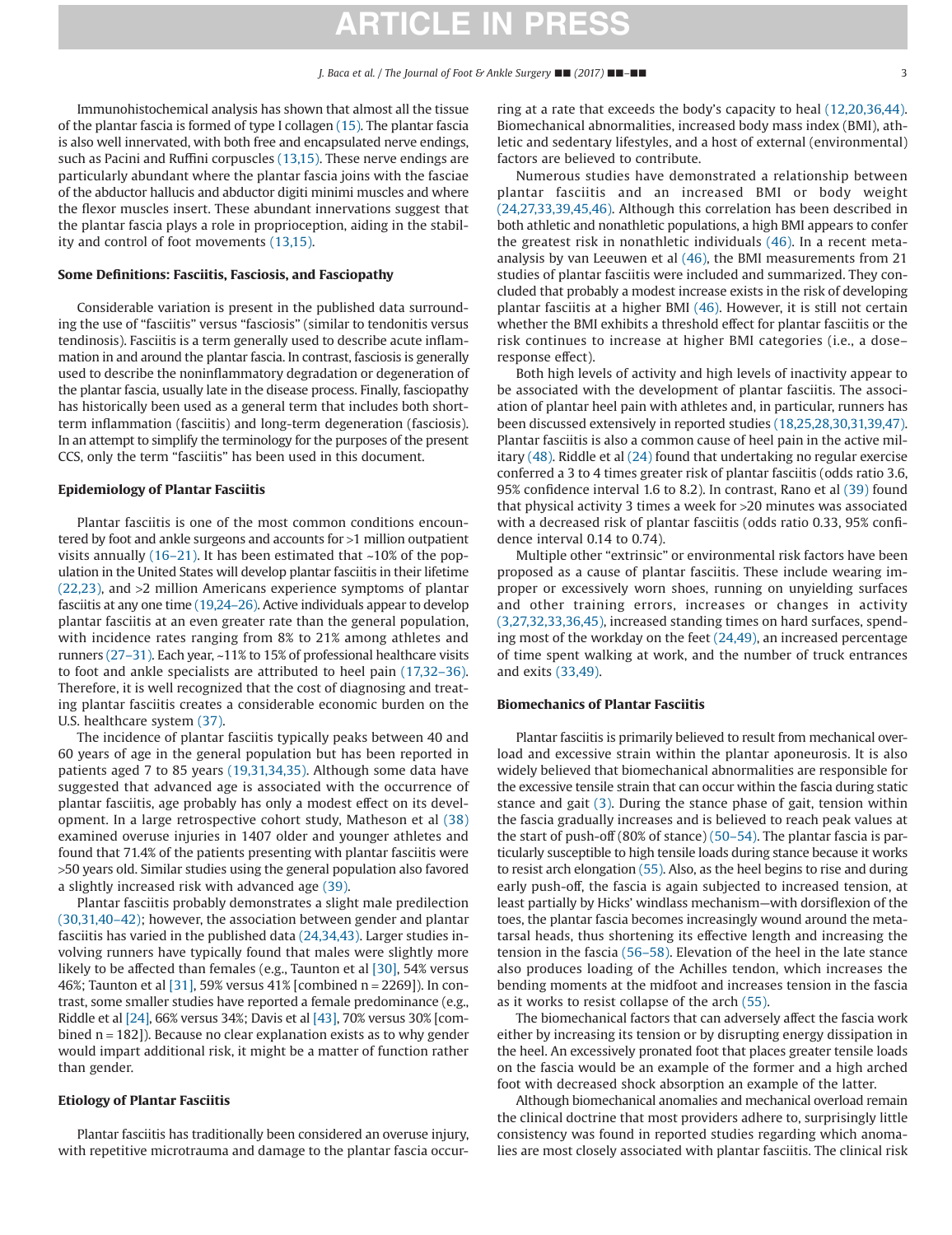Immunohistochemical analysis has shown that almost all the tissue of the plantar fascia is formed of type I collagen [\(15\).](#page-9-12) The plantar fascia is also well innervated, with both free and encapsulated nerve endings, such as Pacini and Ruffini corpuscles [\(13,15\).](#page-9-10) These nerve endings are particularly abundant where the plantar fascia joins with the fasciae of the abductor hallucis and abductor digiti minimi muscles and where the flexor muscles insert. These abundant innervations suggest that the plantar fascia plays a role in proprioception, aiding in the stability and control of foot movements [\(13,15\).](#page-9-10)

### **Some Definitions: Fasciitis, Fasciosis, and Fasciopathy**

Considerable variation is present in the published data surrounding the use of "fasciitis" versus "fasciosis" (similar to tendonitis versus tendinosis). Fasciitis is a term generally used to describe acute inflammation in and around the plantar fascia. In contrast, fasciosis is generally used to describe the noninflammatory degradation or degeneration of the plantar fascia, usually late in the disease process. Finally, fasciopathy has historically been used as a general term that includes both shortterm inflammation (fasciitis) and long-term degeneration (fasciosis). In an attempt to simplify the terminology for the purposes of the present CCS, only the term "fasciitis" has been used in this document.

### **Epidemiology of Plantar Fasciitis**

Plantar fasciitis is one of the most common conditions encountered by foot and ankle surgeons and accounts for >1 million outpatient visits annually  $(16-21)$ . It has been estimated that  $~10\%$  of the population in the United States will develop plantar fasciitis in their lifetime [\(22,23\),](#page-10-0) and >2 million Americans experience symptoms of plantar fasciitis at any one time [\(19,24–26\).](#page-9-14) Active individuals appear to develop plantar fasciitis at an even greater rate than the general population, with incidence rates ranging from 8% to 21% among athletes and runners [\(27–31\).](#page-10-1) Each year, ~11% to 15% of professional healthcare visits to foot and ankle specialists are attributed to heel pain [\(17,32–36\).](#page-9-15) Therefore, it is well recognized that the cost of diagnosing and treating plantar fasciitis creates a considerable economic burden on the U.S. healthcare system [\(37\).](#page-10-2)

The incidence of plantar fasciitis typically peaks between 40 and 60 years of age in the general population but has been reported in patients aged 7 to 85 years [\(19,31,34,35\).](#page-9-14) Although some data have suggested that advanced age is associated with the occurrence of plantar fasciitis, age probably has only a modest effect on its development. In a large retrospective cohort study, Matheson et al [\(38\)](#page-10-3) examined overuse injuries in 1407 older and younger athletes and found that 71.4% of the patients presenting with plantar fasciitis were >50 years old. Similar studies using the general population also favored a slightly increased risk with advanced age [\(39\).](#page-10-4)

Plantar fasciitis probably demonstrates a slight male predilection [\(30,31,40–42\);](#page-10-5) however, the association between gender and plantar fasciitis has varied in the published data [\(24,34,43\).](#page-10-6) Larger studies involving runners have typically found that males were slightly more likely to be affected than females (e.g., Taunton et al [\[30\],](#page-10-5) 54% versus 46%; Taunton et al [\[31\],](#page-10-7) 59% versus 41% [combined n = 2269]). In contrast, some smaller studies have reported a female predominance (e.g., Riddle et al [\[24\],](#page-10-6) 66% versus 34%; Davis et al [\[43\],](#page-10-8) 70% versus 30% [combined  $n = 182$ ]). Because no clear explanation exists as to why gender would impart additional risk, it might be a matter of function rather than gender.

### **Etiology of Plantar Fasciitis**

Plantar fasciitis has traditionally been considered an overuse injury, with repetitive microtrauma and damage to the plantar fascia occurring at a rate that exceeds the body's capacity to heal [\(12,20,36,44\).](#page-9-9) Biomechanical abnormalities, increased body mass index (BMI), athletic and sedentary lifestyles, and a host of external (environmental) factors are believed to contribute.

Numerous studies have demonstrated a relationship between plantar fasciitis and an increased BMI or body weight [\(24,27,33,39,45,46\).](#page-10-6) Although this correlation has been described in both athletic and nonathletic populations, a high BMI appears to confer the greatest risk in nonathletic individuals [\(46\).](#page-10-9) In a recent metaanalysis by van Leeuwen et al  $(46)$ , the BMI measurements from 21 studies of plantar fasciitis were included and summarized. They concluded that probably a modest increase exists in the risk of developing plantar fasciitis at a higher BMI [\(46\).](#page-10-9) However, it is still not certain whether the BMI exhibits a threshold effect for plantar fasciitis or the risk continues to increase at higher BMI categories (i.e., a dose– response effect).

Both high levels of activity and high levels of inactivity appear to be associated with the development of plantar fasciitis. The association of plantar heel pain with athletes and, in particular, runners has been discussed extensively in reported studies [\(18,25,28,30,31,39,47\).](#page-9-16) Plantar fasciitis is also a common cause of heel pain in the active military [\(48\).](#page-10-10) Riddle et al [\(24\)](#page-10-6) found that undertaking no regular exercise conferred a 3 to 4 times greater risk of plantar fasciitis (odds ratio 3.6, 95% confidence interval 1.6 to 8.2). In contrast, Rano et al [\(39\)](#page-10-4) found that physical activity 3 times a week for >20 minutes was associated with a decreased risk of plantar fasciitis (odds ratio 0.33, 95% confidence interval 0.14 to 0.74).

Multiple other "extrinsic" or environmental risk factors have been proposed as a cause of plantar fasciitis. These include wearing improper or excessively worn shoes, running on unyielding surfaces and other training errors, increases or changes in activity [\(3,27,32,33,36,45\),](#page-9-2) increased standing times on hard surfaces, spending most of the workday on the feet  $(24,49)$ , an increased percentage of time spent walking at work, and the number of truck entrances and exits [\(33,49\).](#page-10-11)

### **Biomechanics of Plantar Fasciitis**

Plantar fasciitis is primarily believed to result from mechanical overload and excessive strain within the plantar aponeurosis. It is also widely believed that biomechanical abnormalities are responsible for the excessive tensile strain that can occur within the fascia during static stance and gait [\(3\).](#page-9-2) During the stance phase of gait, tension within the fascia gradually increases and is believed to reach peak values at the start of push-off (80% of stance) [\(50–54\).](#page-10-12) The plantar fascia is particularly susceptible to high tensile loads during stance because it works to resist arch elongation [\(55\).](#page-10-13) Also, as the heel begins to rise and during early push-off, the fascia is again subjected to increased tension, at least partially by Hicks' windlass mechanism—with dorsiflexion of the toes, the plantar fascia becomes increasingly wound around the metatarsal heads, thus shortening its effective length and increasing the tension in the fascia [\(56–58\).](#page-10-14) Elevation of the heel in the late stance also produces loading of the Achilles tendon, which increases the bending moments at the midfoot and increases tension in the fascia as it works to resist collapse of the arch [\(55\).](#page-10-13)

The biomechanical factors that can adversely affect the fascia work either by increasing its tension or by disrupting energy dissipation in the heel. An excessively pronated foot that places greater tensile loads on the fascia would be an example of the former and a high arched foot with decreased shock absorption an example of the latter.

Although biomechanical anomalies and mechanical overload remain the clinical doctrine that most providers adhere to, surprisingly little consistency was found in reported studies regarding which anomalies are most closely associated with plantar fasciitis. The clinical risk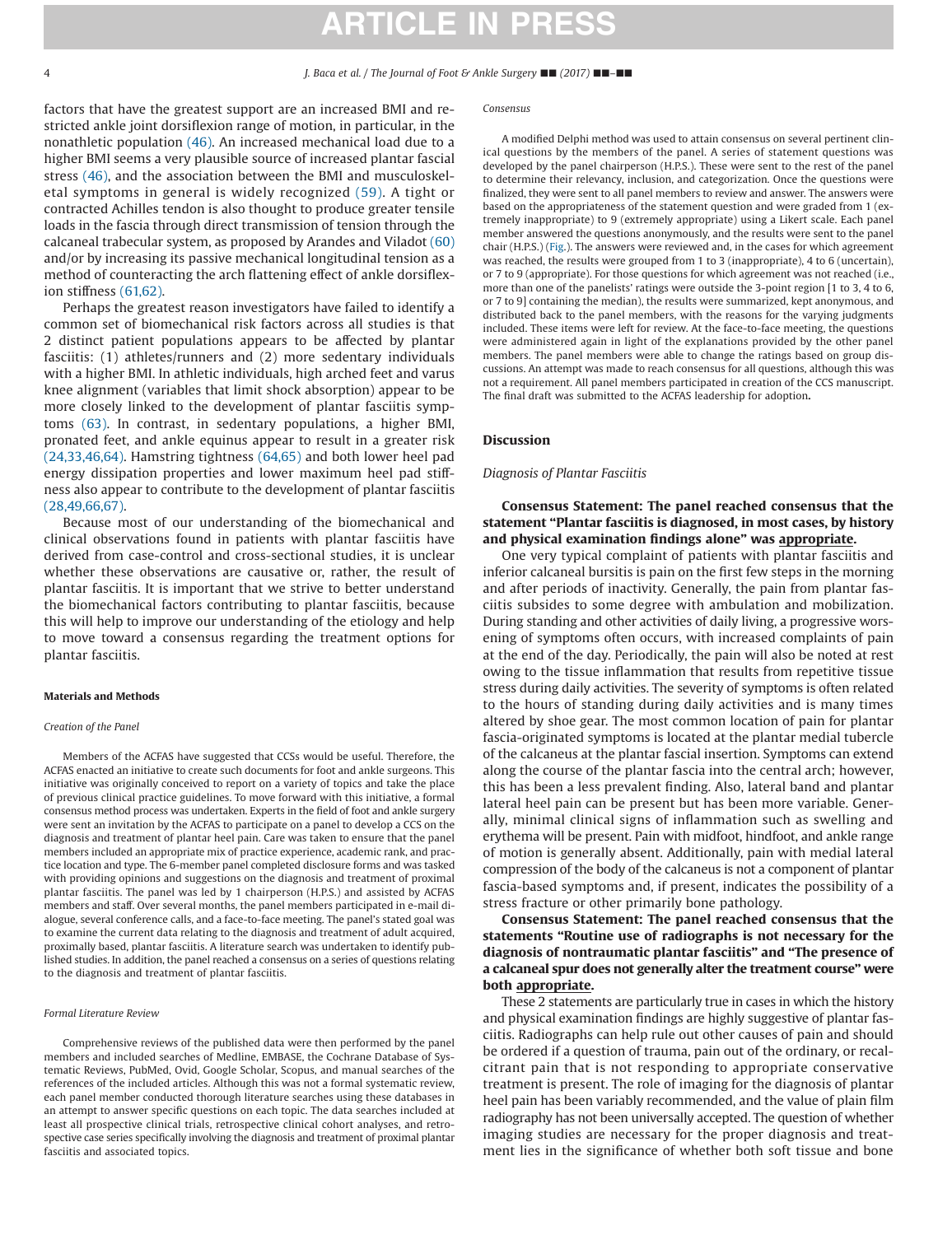### 4 *J. Baca et al. / The Journal of Foot & Ankle Surgery* ■■ *(2017)* ■■*–*■■

factors that have the greatest support are an increased BMI and restricted ankle joint dorsiflexion range of motion, in particular, in the nonathletic population [\(46\).](#page-10-9) An increased mechanical load due to a higher BMI seems a very plausible source of increased plantar fascial stress [\(46\),](#page-10-9) and the association between the BMI and musculoskeletal symptoms in general is widely recognized [\(59\).](#page-10-15) A tight or contracted Achilles tendon is also thought to produce greater tensile loads in the fascia through direct transmission of tension through the calcaneal trabecular system, as proposed by Arandes and Viladot [\(60\)](#page-10-16) and/or by increasing its passive mechanical longitudinal tension as a method of counteracting the arch flattening effect of ankle dorsiflexion stiffness [\(61,62\).](#page-10-17)

Perhaps the greatest reason investigators have failed to identify a common set of biomechanical risk factors across all studies is that 2 distinct patient populations appears to be affected by plantar fasciitis: (1) athletes/runners and (2) more sedentary individuals with a higher BMI. In athletic individuals, high arched feet and varus knee alignment (variables that limit shock absorption) appear to be more closely linked to the development of plantar fasciitis symptoms [\(63\).](#page-10-18) In contrast, in sedentary populations, a higher BMI, pronated feet, and ankle equinus appear to result in a greater risk [\(24,33,46,64\).](#page-10-6) Hamstring tightness [\(64,65\)](#page-10-19) and both lower heel pad energy dissipation properties and lower maximum heel pad stiffness also appear to contribute to the development of plantar fasciitis [\(28,49,66,67\).](#page-10-20)

Because most of our understanding of the biomechanical and clinical observations found in patients with plantar fasciitis have derived from case-control and cross-sectional studies, it is unclear whether these observations are causative or, rather, the result of plantar fasciitis. It is important that we strive to better understand the biomechanical factors contributing to plantar fasciitis, because this will help to improve our understanding of the etiology and help to move toward a consensus regarding the treatment options for plantar fasciitis.

### **Materials and Methods**

### *Creation of the Panel*

Members of the ACFAS have suggested that CCSs would be useful. Therefore, the ACFAS enacted an initiative to create such documents for foot and ankle surgeons. This initiative was originally conceived to report on a variety of topics and take the place of previous clinical practice guidelines. To move forward with this initiative, a formal consensus method process was undertaken. Experts in the field of foot and ankle surgery were sent an invitation by the ACFAS to participate on a panel to develop a CCS on the diagnosis and treatment of plantar heel pain. Care was taken to ensure that the panel members included an appropriate mix of practice experience, academic rank, and practice location and type. The 6-member panel completed disclosure forms and was tasked with providing opinions and suggestions on the diagnosis and treatment of proximal plantar fasciitis. The panel was led by 1 chairperson (H.P.S.) and assisted by ACFAS members and staff. Over several months, the panel members participated in e-mail dialogue, several conference calls, and a face-to-face meeting. The panel's stated goal was to examine the current data relating to the diagnosis and treatment of adult acquired, proximally based, plantar fasciitis. A literature search was undertaken to identify published studies. In addition, the panel reached a consensus on a series of questions relating to the diagnosis and treatment of plantar fasciitis.

### *Formal Literature Review*

Comprehensive reviews of the published data were then performed by the panel members and included searches of Medline, EMBASE, the Cochrane Database of Systematic Reviews, PubMed, Ovid, Google Scholar, Scopus, and manual searches of the references of the included articles. Although this was not a formal systematic review, each panel member conducted thorough literature searches using these databases in an attempt to answer specific questions on each topic. The data searches included at least all prospective clinical trials, retrospective clinical cohort analyses, and retrospective case series specifically involving the diagnosis and treatment of proximal plantar fasciitis and associated topics.

#### *Consensus*

A modified Delphi method was used to attain consensus on several pertinent clinical questions by the members of the panel. A series of statement questions was developed by the panel chairperson (H.P.S.). These were sent to the rest of the panel to determine their relevancy, inclusion, and categorization. Once the questions were finalized, they were sent to all panel members to review and answer. The answers were based on the appropriateness of the statement question and were graded from 1 (extremely inappropriate) to 9 (extremely appropriate) using a Likert scale. Each panel member answered the questions anonymously, and the results were sent to the panel chair (H.P.S.) [\(Fig.](#page-4-0)). The answers were reviewed and, in the cases for which agreement was reached, the results were grouped from 1 to 3 (inappropriate), 4 to 6 (uncertain), or 7 to 9 (appropriate). For those questions for which agreement was not reached (i.e., more than one of the panelists' ratings were outside the 3-point region [1 to 3, 4 to 6, or 7 to 9] containing the median), the results were summarized, kept anonymous, and distributed back to the panel members, with the reasons for the varying judgments included. These items were left for review. At the face-to-face meeting, the questions were administered again in light of the explanations provided by the other panel members. The panel members were able to change the ratings based on group discussions. An attempt was made to reach consensus for all questions, although this was not a requirement. All panel members participated in creation of the CCS manuscript. The final draft was submitted to the ACFAS leadership for adoption**.**

#### **Discussion**

### *Diagnosis of Plantar Fasciitis*

**Consensus Statement: The panel reached consensus that the statement "Plantar fasciitis is diagnosed, in most cases, by history and physical examination findings alone" was appropriate.**

One very typical complaint of patients with plantar fasciitis and inferior calcaneal bursitis is pain on the first few steps in the morning and after periods of inactivity. Generally, the pain from plantar fasciitis subsides to some degree with ambulation and mobilization. During standing and other activities of daily living, a progressive worsening of symptoms often occurs, with increased complaints of pain at the end of the day. Periodically, the pain will also be noted at rest owing to the tissue inflammation that results from repetitive tissue stress during daily activities. The severity of symptoms is often related to the hours of standing during daily activities and is many times altered by shoe gear. The most common location of pain for plantar fascia-originated symptoms is located at the plantar medial tubercle of the calcaneus at the plantar fascial insertion. Symptoms can extend along the course of the plantar fascia into the central arch; however, this has been a less prevalent finding. Also, lateral band and plantar lateral heel pain can be present but has been more variable. Generally, minimal clinical signs of inflammation such as swelling and erythema will be present. Pain with midfoot, hindfoot, and ankle range of motion is generally absent. Additionally, pain with medial lateral compression of the body of the calcaneus is not a component of plantar fascia-based symptoms and, if present, indicates the possibility of a stress fracture or other primarily bone pathology.

### **Consensus Statement: The panel reached consensus that the statements "Routine use of radiographs is not necessary for the diagnosis of nontraumatic plantar fasciitis" and "The presence of a calcaneal spur does not generally alter the treatment course" were both appropriate.**

These 2 statements are particularly true in cases in which the history and physical examination findings are highly suggestive of plantar fasciitis. Radiographs can help rule out other causes of pain and should be ordered if a question of trauma, pain out of the ordinary, or recalcitrant pain that is not responding to appropriate conservative treatment is present. The role of imaging for the diagnosis of plantar heel pain has been variably recommended, and the value of plain film radiography has not been universally accepted. The question of whether imaging studies are necessary for the proper diagnosis and treatment lies in the significance of whether both soft tissue and bone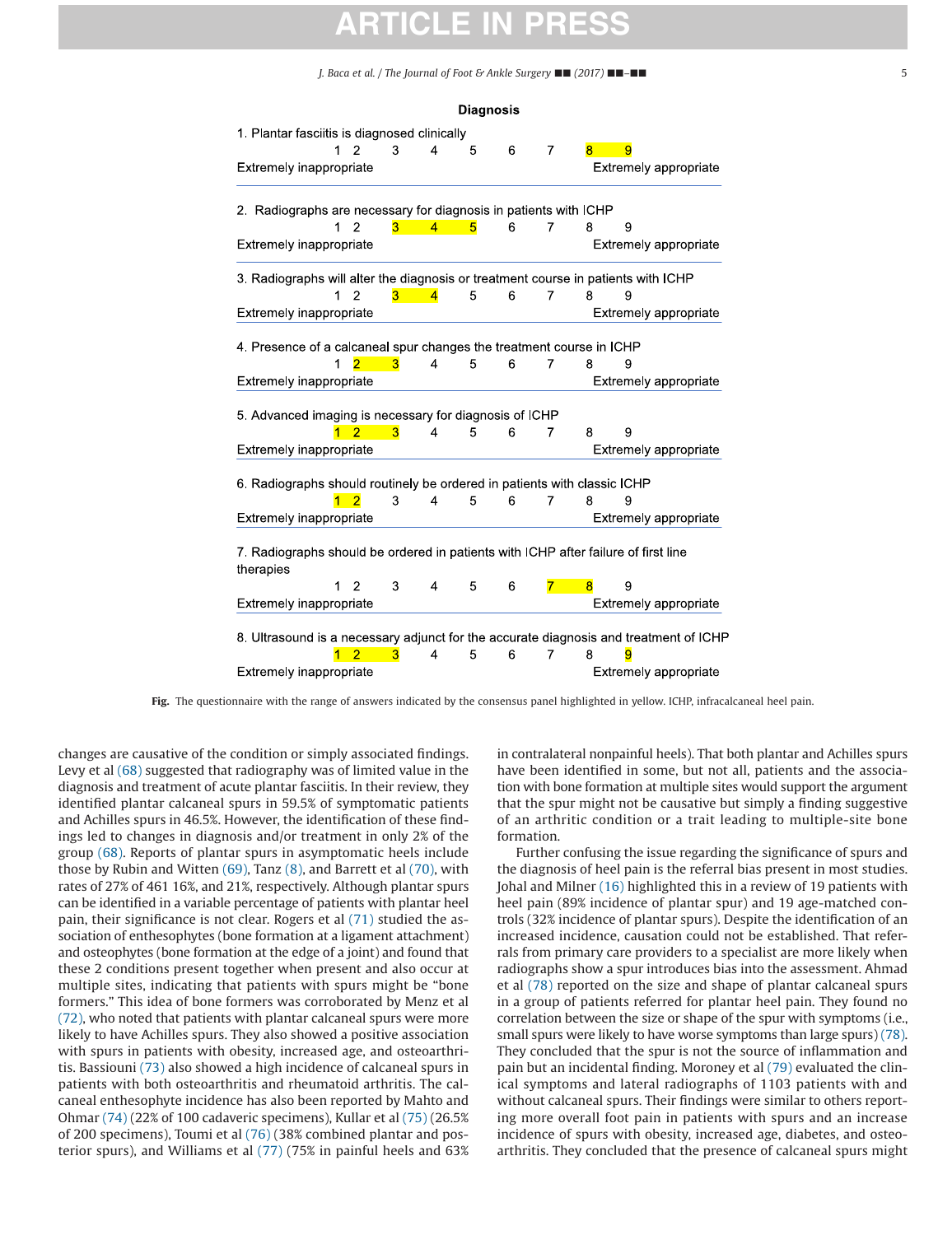### **ARTICLE IN PRESS**

*J. Baca et al. / The Journal of Foot & Ankle Surgery* ■■ *(2017)* ■■*–*■■ 5

**Diagnosis** 1. Plantar fasciitis is diagnosed clinically 5 9  $1<sub>2</sub>$ 3 6 7 4 Extremely appropriate Extremely inappropriate 2. Radiographs are necessary for diagnosis in patients with ICHP  $1<sub>2</sub>$  $3 \overline{4}$ -5 6  $\overline{7}$ 8 9 Extremely inappropriate Extremely appropriate 3. Radiographs will alter the diagnosis or treatment course in patients with ICHP  $1<sub>2</sub>$ 5 6  $\overline{7}$  $3 -4$ 8 Extremely inappropriate Extremely appropriate 4. Presence of a calcaneal spur changes the treatment course in ICHP  $\overline{\mathbf{A}}$ 5 6 1 <mark>2 </mark> 3  $\overline{7}$ 8 9 Extremely appropriate **Extremely inappropriate** 5. Advanced imaging is necessary for diagnosis of ICHP 9  $1\quad 2$ 3 4 5 6  $\overline{7}$ 8 Extremely appropriate Extremely inappropriate 6. Radiographs should routinely be ordered in patients with classic ICHP  $\overline{7}$  $1\quad 2$ 3 4 5 6 8 9 Extremely inappropriate Extremely appropriate 7. Radiographs should be ordered in patients with ICHP after failure of first line therapies  $1<sub>2</sub>$ 3  $\overline{A}$ 5 6  $7 \overline{8}$ 9 Extremely inappropriate Extremely appropriate 8. Ultrasound is a necessary adjunct for the accurate diagnosis and treatment of ICHP  $1<sub>2</sub>$ 3  $\overline{4}$ 5 6  $\overline{7}$ 8 Extremely inappropriate Extremely appropriate

<span id="page-4-0"></span>**Fig.** The questionnaire with the range of answers indicated by the consensus panel highlighted in yellow. ICHP, infracalcaneal heel pain.

changes are causative of the condition or simply associated findings. Levy et al [\(68\)](#page-10-21) suggested that radiography was of limited value in the diagnosis and treatment of acute plantar fasciitis. In their review, they identified plantar calcaneal spurs in 59.5% of symptomatic patients and Achilles spurs in 46.5%. However, the identification of these findings led to changes in diagnosis and/or treatment in only 2% of the group [\(68\).](#page-10-21) Reports of plantar spurs in asymptomatic heels include those by Rubin and Witten [\(69\),](#page-10-22) Tanz [\(8\),](#page-9-7) and Barrett et al [\(70\),](#page-10-23) with rates of 27% of 461 16%, and 21%, respectively. Although plantar spurs can be identified in a variable percentage of patients with plantar heel pain, their significance is not clear. Rogers et al [\(71\)](#page-10-24) studied the association of enthesophytes (bone formation at a ligament attachment) and osteophytes (bone formation at the edge of a joint) and found that these 2 conditions present together when present and also occur at multiple sites, indicating that patients with spurs might be "bone formers." This idea of bone formers was corroborated by Menz et al [\(72\),](#page-10-25) who noted that patients with plantar calcaneal spurs were more likely to have Achilles spurs. They also showed a positive association with spurs in patients with obesity, increased age, and osteoarthritis. Bassiouni [\(73\)](#page-10-26) also showed a high incidence of calcaneal spurs in patients with both osteoarthritis and rheumatoid arthritis. The calcaneal enthesophyte incidence has also been reported by Mahto and Ohmar [\(74\)](#page-10-27) (22% of 100 cadaveric specimens), Kullar et al [\(75\)](#page-10-28) (26.5% of 200 specimens), Toumi et al [\(76\)](#page-10-29) (38% combined plantar and posterior spurs), and Williams et al [\(77\)](#page-10-30) (75% in painful heels and 63%

in contralateral nonpainful heels). That both plantar and Achilles spurs have been identified in some, but not all, patients and the association with bone formation at multiple sites would support the argument that the spur might not be causative but simply a finding suggestive of an arthritic condition or a trait leading to multiple-site bone formation.

Further confusing the issue regarding the significance of spurs and the diagnosis of heel pain is the referral bias present in most studies. Johal and Milner [\(16\)](#page-9-13) highlighted this in a review of 19 patients with heel pain (89% incidence of plantar spur) and 19 age-matched controls (32% incidence of plantar spurs). Despite the identification of an increased incidence, causation could not be established. That referrals from primary care providers to a specialist are more likely when radiographs show a spur introduces bias into the assessment. Ahmad et al [\(78\)](#page-10-31) reported on the size and shape of plantar calcaneal spurs in a group of patients referred for plantar heel pain. They found no correlation between the size or shape of the spur with symptoms (i.e., small spurs were likely to have worse symptoms than large spurs) [\(78\).](#page-10-31) They concluded that the spur is not the source of inflammation and pain but an incidental finding. Moroney et al [\(79\)](#page-10-32) evaluated the clinical symptoms and lateral radiographs of 1103 patients with and without calcaneal spurs. Their findings were similar to others reporting more overall foot pain in patients with spurs and an increase incidence of spurs with obesity, increased age, diabetes, and osteoarthritis. They concluded that the presence of calcaneal spurs might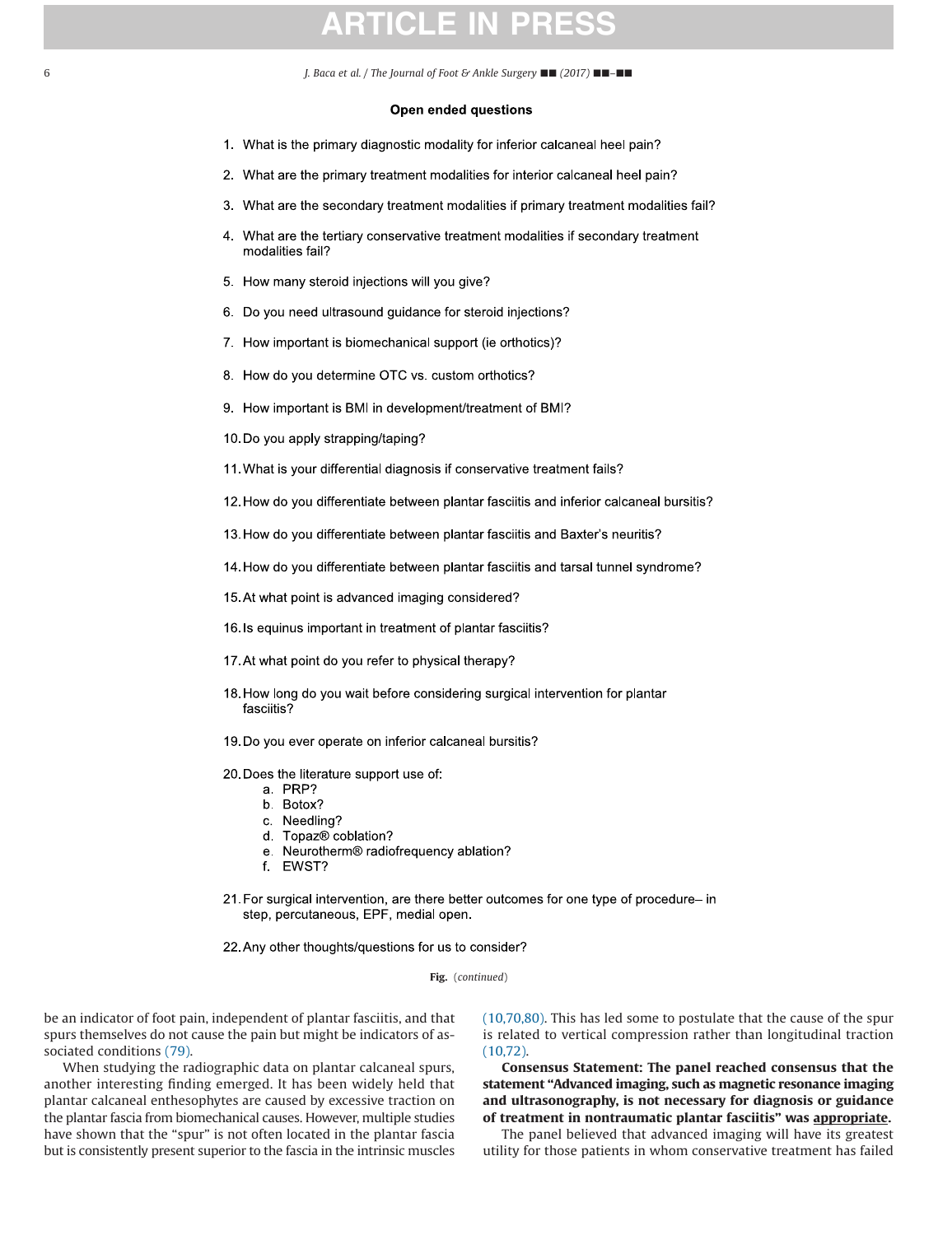### **ARTICLE IN**

6 *J. Baca et al. / The Journal of Foot & Ankle Surgery* ■■ *(2017)* ■■*–*■■

### Open ended questions

- 1. What is the primary diagnostic modality for inferior calcaneal heel pain?
- 2. What are the primary treatment modalities for interior calcaneal heel pain?
- 3. What are the secondary treatment modalities if primary treatment modalities fail?
- 4. What are the tertiary conservative treatment modalities if secondary treatment modalities fail?
- 5. How many steroid injections will you give?
- 6. Do you need ultrasound guidance for steroid injections?
- 7. How important is biomechanical support (ie orthotics)?
- 8. How do you determine OTC vs. custom orthotics?
- 9. How important is BMI in development/treatment of BMI?
- 10 Do you apply strapping/taping?
- 11. What is your differential diagnosis if conservative treatment fails?

12. How do you differentiate between plantar fasciitis and inferior calcaneal bursitis?

13. How do you differentiate between plantar fasciitis and Baxter's neuritis?

14. How do you differentiate between plantar fasciitis and tarsal tunnel syndrome?

15. At what point is advanced imaging considered?

16. Is equinus important in treatment of plantar fasciitis?

- 17. At what point do you refer to physical therapy?
- 18. How long do you wait before considering surgical intervention for plantar fasciitis?
- 19. Do you ever operate on inferior calcaneal bursitis?

20. Does the literature support use of:

- a. PRP?
- b Botox?
- c. Needling?
- d. Topaz® coblation?
- e. Neurotherm® radiofrequency ablation?
- f. EWST?
- 21. For surgical intervention, are there better outcomes for one type of procedure in step, percutaneous, EPF, medial open.

22. Any other thoughts/questions for us to consider?

**Fig.** (*continued*)

be an indicator of foot pain, independent of plantar fasciitis, and that spurs themselves do not cause the pain but might be indicators of associated conditions [\(79\).](#page-10-32)

When studying the radiographic data on plantar calcaneal spurs, another interesting finding emerged. It has been widely held that plantar calcaneal enthesophytes are caused by excessive traction on the plantar fascia from biomechanical causes. However, multiple studies have shown that the "spur" is not often located in the plantar fascia but is consistently present superior to the fascia in the intrinsic muscles [\(10,70,80\).](#page-9-17) This has led some to postulate that the cause of the spur is related to vertical compression rather than longitudinal traction [\(10,72\).](#page-9-17)

**Consensus Statement: The panel reached consensus that the statement "Advanced imaging, such as magnetic resonance imaging and ultrasonography, is not necessary for diagnosis or guidance of treatment in nontraumatic plantar fasciitis" was appropriate.**

The panel believed that advanced imaging will have its greatest utility for those patients in whom conservative treatment has failed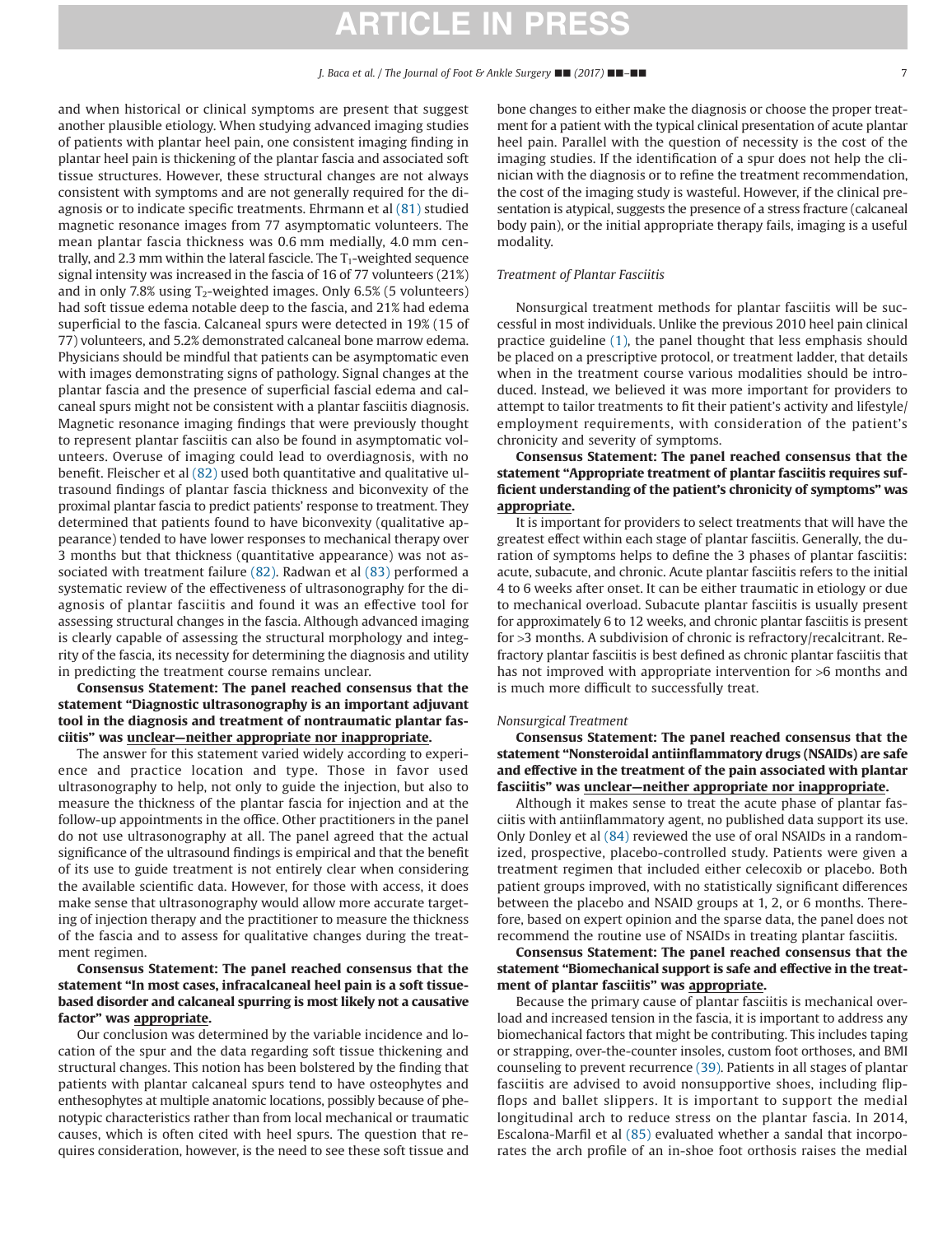and when historical or clinical symptoms are present that suggest another plausible etiology. When studying advanced imaging studies of patients with plantar heel pain, one consistent imaging finding in plantar heel pain is thickening of the plantar fascia and associated soft tissue structures. However, these structural changes are not always consistent with symptoms and are not generally required for the diagnosis or to indicate specific treatments. Ehrmann et al [\(81\)](#page-10-33) studied magnetic resonance images from 77 asymptomatic volunteers. The mean plantar fascia thickness was 0.6 mm medially, 4.0 mm centrally, and 2.3 mm within the lateral fascicle. The  $T_1$ -weighted sequence signal intensity was increased in the fascia of 16 of 77 volunteers (21%) and in only 7.8% using  $T_2$ -weighted images. Only 6.5% (5 volunteers) had soft tissue edema notable deep to the fascia, and 21% had edema superficial to the fascia. Calcaneal spurs were detected in 19% (15 of 77) volunteers, and 5.2% demonstrated calcaneal bone marrow edema. Physicians should be mindful that patients can be asymptomatic even with images demonstrating signs of pathology. Signal changes at the plantar fascia and the presence of superficial fascial edema and calcaneal spurs might not be consistent with a plantar fasciitis diagnosis. Magnetic resonance imaging findings that were previously thought to represent plantar fasciitis can also be found in asymptomatic volunteers. Overuse of imaging could lead to overdiagnosis, with no benefit. Fleischer et al [\(82\)](#page-10-34) used both quantitative and qualitative ultrasound findings of plantar fascia thickness and biconvexity of the proximal plantar fascia to predict patients' response to treatment. They determined that patients found to have biconvexity (qualitative appearance) tended to have lower responses to mechanical therapy over 3 months but that thickness (quantitative appearance) was not associated with treatment failure [\(82\).](#page-10-34) Radwan et al [\(83\)](#page-10-35) performed a systematic review of the effectiveness of ultrasonography for the diagnosis of plantar fasciitis and found it was an effective tool for assessing structural changes in the fascia. Although advanced imaging is clearly capable of assessing the structural morphology and integrity of the fascia, its necessity for determining the diagnosis and utility in predicting the treatment course remains unclear.

**Consensus Statement: The panel reached consensus that the statement "Diagnostic ultrasonography is an important adjuvant tool in the diagnosis and treatment of nontraumatic plantar fasciitis" was unclear—neither appropriate nor inappropriate.**

The answer for this statement varied widely according to experience and practice location and type. Those in favor used ultrasonography to help, not only to guide the injection, but also to measure the thickness of the plantar fascia for injection and at the follow-up appointments in the office. Other practitioners in the panel do not use ultrasonography at all. The panel agreed that the actual significance of the ultrasound findings is empirical and that the benefit of its use to guide treatment is not entirely clear when considering the available scientific data. However, for those with access, it does make sense that ultrasonography would allow more accurate targeting of injection therapy and the practitioner to measure the thickness of the fascia and to assess for qualitative changes during the treatment regimen.

### **Consensus Statement: The panel reached consensus that the statement "In most cases, infracalcaneal heel pain is a soft tissuebased disorder and calcaneal spurring is most likely not a causative factor" was appropriate.**

Our conclusion was determined by the variable incidence and location of the spur and the data regarding soft tissue thickening and structural changes. This notion has been bolstered by the finding that patients with plantar calcaneal spurs tend to have osteophytes and enthesophytes at multiple anatomic locations, possibly because of phenotypic characteristics rather than from local mechanical or traumatic causes, which is often cited with heel spurs. The question that requires consideration, however, is the need to see these soft tissue and bone changes to either make the diagnosis or choose the proper treatment for a patient with the typical clinical presentation of acute plantar heel pain. Parallel with the question of necessity is the cost of the imaging studies. If the identification of a spur does not help the clinician with the diagnosis or to refine the treatment recommendation, the cost of the imaging study is wasteful. However, if the clinical presentation is atypical, suggests the presence of a stress fracture (calcaneal body pain), or the initial appropriate therapy fails, imaging is a useful modality.

### *Treatment of Plantar Fasciitis*

Nonsurgical treatment methods for plantar fasciitis will be successful in most individuals. Unlike the previous 2010 heel pain clinical practice guideline [\(1\),](#page-9-0) the panel thought that less emphasis should be placed on a prescriptive protocol, or treatment ladder, that details when in the treatment course various modalities should be introduced. Instead, we believed it was more important for providers to attempt to tailor treatments to fit their patient's activity and lifestyle/ employment requirements, with consideration of the patient's chronicity and severity of symptoms.

### **Consensus Statement: The panel reached consensus that the statement "Appropriate treatment of plantar fasciitis requires sufficient understanding of the patient's chronicity of symptoms" was appropriate.**

It is important for providers to select treatments that will have the greatest effect within each stage of plantar fasciitis. Generally, the duration of symptoms helps to define the 3 phases of plantar fasciitis: acute, subacute, and chronic. Acute plantar fasciitis refers to the initial 4 to 6 weeks after onset. It can be either traumatic in etiology or due to mechanical overload. Subacute plantar fasciitis is usually present for approximately 6 to 12 weeks, and chronic plantar fasciitis is present for >3 months. A subdivision of chronic is refractory/recalcitrant. Refractory plantar fasciitis is best defined as chronic plantar fasciitis that has not improved with appropriate intervention for >6 months and is much more difficult to successfully treat.

#### *Nonsurgical Treatment*

**Consensus Statement: The panel reached consensus that the statement "Nonsteroidal antiinflammatory drugs (NSAIDs) are safe and effective in the treatment of the pain associated with plantar fasciitis" was unclear—neither appropriate nor inappropriate.**

Although it makes sense to treat the acute phase of plantar fasciitis with antiinflammatory agent, no published data support its use. Only Donley et al [\(84\)](#page-10-36) reviewed the use of oral NSAIDs in a randomized, prospective, placebo-controlled study. Patients were given a treatment regimen that included either celecoxib or placebo. Both patient groups improved, with no statistically significant differences between the placebo and NSAID groups at 1, 2, or 6 months. Therefore, based on expert opinion and the sparse data, the panel does not recommend the routine use of NSAIDs in treating plantar fasciitis.

### **Consensus Statement: The panel reached consensus that the statement "Biomechanical support is safe and effective in the treatment of plantar fasciitis" was appropriate.**

Because the primary cause of plantar fasciitis is mechanical overload and increased tension in the fascia, it is important to address any biomechanical factors that might be contributing. This includes taping or strapping, over-the-counter insoles, custom foot orthoses, and BMI counseling to prevent recurrence [\(39\).](#page-10-4) Patients in all stages of plantar fasciitis are advised to avoid nonsupportive shoes, including flipflops and ballet slippers. It is important to support the medial longitudinal arch to reduce stress on the plantar fascia. In 2014, Escalona-Marfil et al [\(85\)](#page-10-37) evaluated whether a sandal that incorporates the arch profile of an in-shoe foot orthosis raises the medial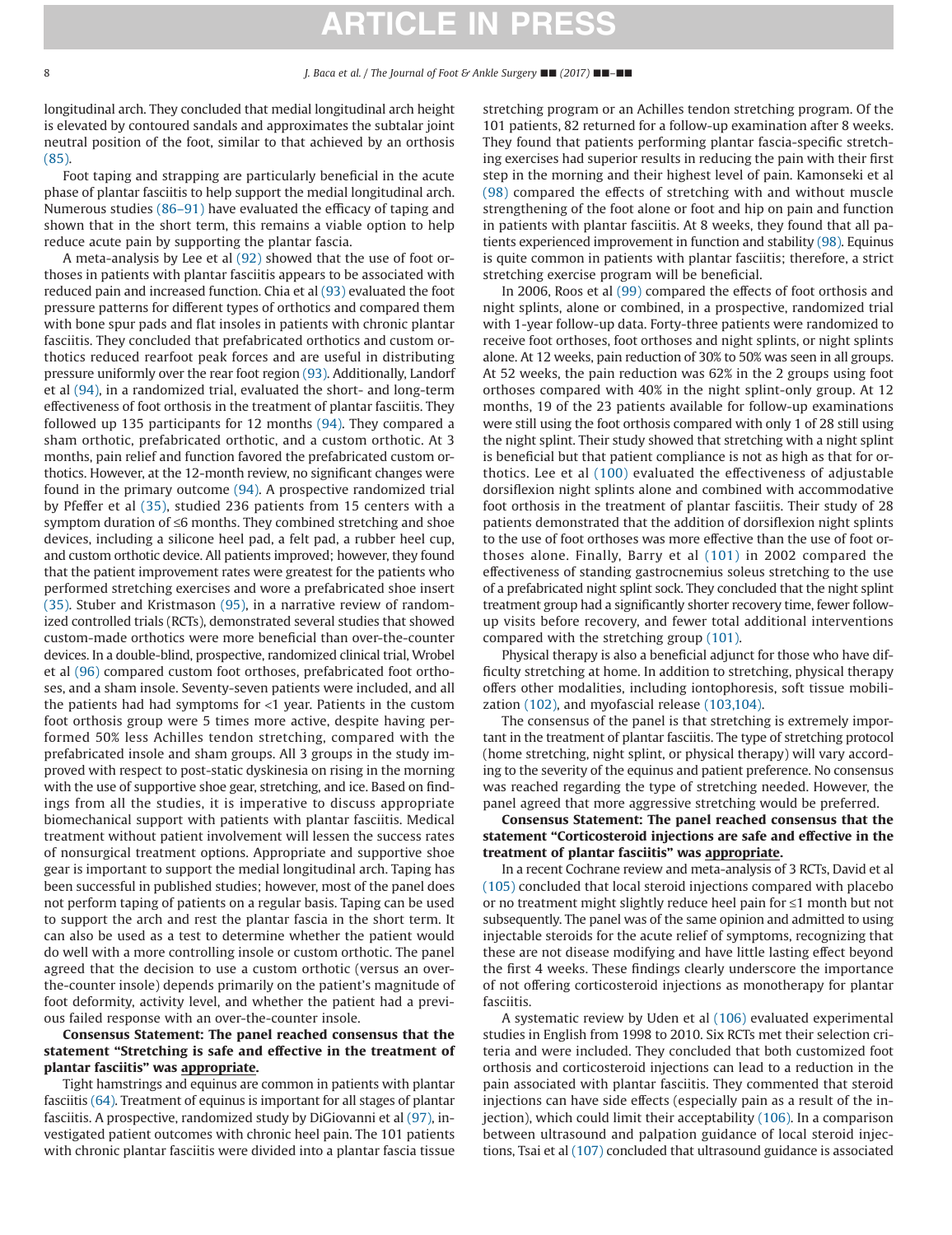### **ARTICLE IN PRESS**

longitudinal arch. They concluded that medial longitudinal arch height is elevated by contoured sandals and approximates the subtalar joint neutral position of the foot, similar to that achieved by an orthosis [\(85\).](#page-10-37)

Foot taping and strapping are particularly beneficial in the acute phase of plantar fasciitis to help support the medial longitudinal arch. Numerous studies [\(86–91\)](#page-10-38) have evaluated the efficacy of taping and shown that in the short term, this remains a viable option to help reduce acute pain by supporting the plantar fascia.

A meta-analysis by Lee et al [\(92\)](#page-11-0) showed that the use of foot orthoses in patients with plantar fasciitis appears to be associated with reduced pain and increased function. Chia et al [\(93\)](#page-11-1) evaluated the foot pressure patterns for different types of orthotics and compared them with bone spur pads and flat insoles in patients with chronic plantar fasciitis. They concluded that prefabricated orthotics and custom orthotics reduced rearfoot peak forces and are useful in distributing pressure uniformly over the rear foot region [\(93\).](#page-11-1) Additionally, Landorf et al [\(94\),](#page-11-2) in a randomized trial, evaluated the short- and long-term effectiveness of foot orthosis in the treatment of plantar fasciitis. They followed up 135 participants for 12 months [\(94\).](#page-11-2) They compared a sham orthotic, prefabricated orthotic, and a custom orthotic. At 3 months, pain relief and function favored the prefabricated custom orthotics. However, at the 12-month review, no significant changes were found in the primary outcome [\(94\).](#page-11-2) A prospective randomized trial by Pfeffer et al [\(35\),](#page-10-39) studied 236 patients from 15 centers with a symptom duration of ≤6 months. They combined stretching and shoe devices, including a silicone heel pad, a felt pad, a rubber heel cup, and custom orthotic device. All patients improved; however, they found that the patient improvement rates were greatest for the patients who performed stretching exercises and wore a prefabricated shoe insert [\(35\).](#page-10-39) Stuber and Kristmason [\(95\),](#page-11-3) in a narrative review of randomized controlled trials (RCTs), demonstrated several studies that showed custom-made orthotics were more beneficial than over-the-counter devices. In a double-blind, prospective, randomized clinical trial, Wrobel et al [\(96\)](#page-11-4) compared custom foot orthoses, prefabricated foot orthoses, and a sham insole. Seventy-seven patients were included, and all the patients had had symptoms for <1 year. Patients in the custom foot orthosis group were 5 times more active, despite having performed 50% less Achilles tendon stretching, compared with the prefabricated insole and sham groups. All 3 groups in the study improved with respect to post-static dyskinesia on rising in the morning with the use of supportive shoe gear, stretching, and ice. Based on findings from all the studies, it is imperative to discuss appropriate biomechanical support with patients with plantar fasciitis. Medical treatment without patient involvement will lessen the success rates of nonsurgical treatment options. Appropriate and supportive shoe gear is important to support the medial longitudinal arch. Taping has been successful in published studies; however, most of the panel does not perform taping of patients on a regular basis. Taping can be used to support the arch and rest the plantar fascia in the short term. It can also be used as a test to determine whether the patient would do well with a more controlling insole or custom orthotic. The panel agreed that the decision to use a custom orthotic (versus an overthe-counter insole) depends primarily on the patient's magnitude of foot deformity, activity level, and whether the patient had a previous failed response with an over-the-counter insole.

### **Consensus Statement: The panel reached consensus that the statement "Stretching is safe and effective in the treatment of plantar fasciitis" was appropriate.**

Tight hamstrings and equinus are common in patients with plantar fasciitis [\(64\).](#page-10-19) Treatment of equinus is important for all stages of plantar fasciitis. A prospective, randomized study by DiGiovanni et al [\(97\),](#page-11-5) investigated patient outcomes with chronic heel pain. The 101 patients with chronic plantar fasciitis were divided into a plantar fascia tissue stretching program or an Achilles tendon stretching program. Of the 101 patients, 82 returned for a follow-up examination after 8 weeks. They found that patients performing plantar fascia-specific stretching exercises had superior results in reducing the pain with their first step in the morning and their highest level of pain. Kamonseki et al [\(98\)](#page-11-6) compared the effects of stretching with and without muscle strengthening of the foot alone or foot and hip on pain and function in patients with plantar fasciitis. At 8 weeks, they found that all patients experienced improvement in function and stability [\(98\).](#page-11-6) Equinus is quite common in patients with plantar fasciitis; therefore, a strict stretching exercise program will be beneficial.

In 2006, Roos et al [\(99\)](#page-11-7) compared the effects of foot orthosis and night splints, alone or combined, in a prospective, randomized trial with 1-year follow-up data. Forty-three patients were randomized to receive foot orthoses, foot orthoses and night splints, or night splints alone. At 12 weeks, pain reduction of 30% to 50% was seen in all groups. At 52 weeks, the pain reduction was 62% in the 2 groups using foot orthoses compared with 40% in the night splint-only group. At 12 months, 19 of the 23 patients available for follow-up examinations were still using the foot orthosis compared with only 1 of 28 still using the night splint. Their study showed that stretching with a night splint is beneficial but that patient compliance is not as high as that for orthotics. Lee et al [\(100\)](#page-11-8) evaluated the effectiveness of adjustable dorsiflexion night splints alone and combined with accommodative foot orthosis in the treatment of plantar fasciitis. Their study of 28 patients demonstrated that the addition of dorsiflexion night splints to the use of foot orthoses was more effective than the use of foot orthoses alone. Finally, Barry et al [\(101\)](#page-11-9) in 2002 compared the effectiveness of standing gastrocnemius soleus stretching to the use of a prefabricated night splint sock. They concluded that the night splint treatment group had a significantly shorter recovery time, fewer followup visits before recovery, and fewer total additional interventions compared with the stretching group [\(101\).](#page-11-9)

Physical therapy is also a beneficial adjunct for those who have difficulty stretching at home. In addition to stretching, physical therapy offers other modalities, including iontophoresis, soft tissue mobilization [\(102\),](#page-11-10) and myofascial release [\(103,104\).](#page-11-11)

The consensus of the panel is that stretching is extremely important in the treatment of plantar fasciitis. The type of stretching protocol (home stretching, night splint, or physical therapy) will vary according to the severity of the equinus and patient preference. No consensus was reached regarding the type of stretching needed. However, the panel agreed that more aggressive stretching would be preferred.

**Consensus Statement: The panel reached consensus that the statement "Corticosteroid injections are safe and effective in the treatment of plantar fasciitis" was appropriate.**

In a recent Cochrane review and meta-analysis of 3 RCTs, David et al [\(105\)](#page-11-12) concluded that local steroid injections compared with placebo or no treatment might slightly reduce heel pain for ≤1 month but not subsequently. The panel was of the same opinion and admitted to using injectable steroids for the acute relief of symptoms, recognizing that these are not disease modifying and have little lasting effect beyond the first 4 weeks. These findings clearly underscore the importance of not offering corticosteroid injections as monotherapy for plantar fasciitis.

A systematic review by Uden et al [\(106\)](#page-11-13) evaluated experimental studies in English from 1998 to 2010. Six RCTs met their selection criteria and were included. They concluded that both customized foot orthosis and corticosteroid injections can lead to a reduction in the pain associated with plantar fasciitis. They commented that steroid injections can have side effects (especially pain as a result of the injection), which could limit their acceptability [\(106\).](#page-11-13) In a comparison between ultrasound and palpation guidance of local steroid injections, Tsai et al [\(107\)](#page-11-14) concluded that ultrasound guidance is associated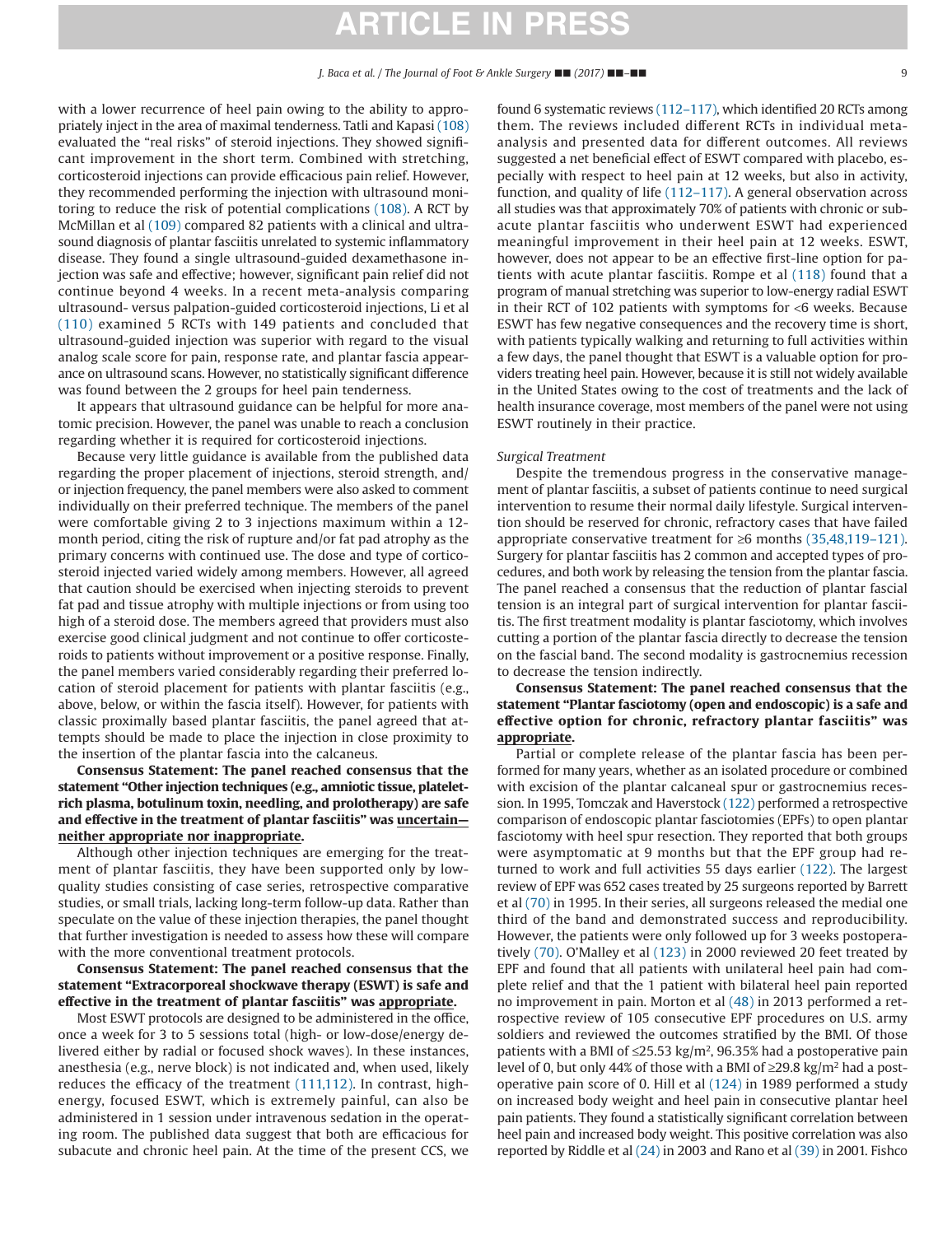with a lower recurrence of heel pain owing to the ability to appropriately inject in the area of maximal tenderness. Tatli and Kapasi [\(108\)](#page-11-15) evaluated the "real risks" of steroid injections. They showed significant improvement in the short term. Combined with stretching, corticosteroid injections can provide efficacious pain relief. However, they recommended performing the injection with ultrasound monitoring to reduce the risk of potential complications [\(108\).](#page-11-15) A RCT by McMillan et al [\(109\)](#page-11-16) compared 82 patients with a clinical and ultrasound diagnosis of plantar fasciitis unrelated to systemic inflammatory disease. They found a single ultrasound-guided dexamethasone injection was safe and effective; however, significant pain relief did not continue beyond 4 weeks. In a recent meta-analysis comparing ultrasound- versus palpation-guided corticosteroid injections, Li et al [\(110\)](#page-11-17) examined 5 RCTs with 149 patients and concluded that ultrasound-guided injection was superior with regard to the visual analog scale score for pain, response rate, and plantar fascia appearance on ultrasound scans. However, no statistically significant difference was found between the 2 groups for heel pain tenderness.

It appears that ultrasound guidance can be helpful for more anatomic precision. However, the panel was unable to reach a conclusion regarding whether it is required for corticosteroid injections.

Because very little guidance is available from the published data regarding the proper placement of injections, steroid strength, and/ or injection frequency, the panel members were also asked to comment individually on their preferred technique. The members of the panel were comfortable giving 2 to 3 injections maximum within a 12 month period, citing the risk of rupture and/or fat pad atrophy as the primary concerns with continued use. The dose and type of corticosteroid injected varied widely among members. However, all agreed that caution should be exercised when injecting steroids to prevent fat pad and tissue atrophy with multiple injections or from using too high of a steroid dose. The members agreed that providers must also exercise good clinical judgment and not continue to offer corticosteroids to patients without improvement or a positive response. Finally, the panel members varied considerably regarding their preferred location of steroid placement for patients with plantar fasciitis (e.g., above, below, or within the fascia itself). However, for patients with classic proximally based plantar fasciitis, the panel agreed that attempts should be made to place the injection in close proximity to the insertion of the plantar fascia into the calcaneus.

**Consensus Statement: The panel reached consensus that the statement "Other injection techniques (e.g., amniotic tissue, plateletrich plasma, botulinum toxin, needling, and prolotherapy) are safe and effective in the treatment of plantar fasciitis" was uncertain neither appropriate nor inappropriate.**

Although other injection techniques are emerging for the treatment of plantar fasciitis, they have been supported only by lowquality studies consisting of case series, retrospective comparative studies, or small trials, lacking long-term follow-up data. Rather than speculate on the value of these injection therapies, the panel thought that further investigation is needed to assess how these will compare with the more conventional treatment protocols.

**Consensus Statement: The panel reached consensus that the statement "Extracorporeal shockwave therapy (ESWT) is safe and effective in the treatment of plantar fasciitis" was appropriate.**

Most ESWT protocols are designed to be administered in the office, once a week for 3 to 5 sessions total (high- or low-dose/energy delivered either by radial or focused shock waves). In these instances, anesthesia (e.g., nerve block) is not indicated and, when used, likely reduces the efficacy of the treatment [\(111,112\).](#page-11-18) In contrast, highenergy, focused ESWT, which is extremely painful, can also be administered in 1 session under intravenous sedation in the operating room. The published data suggest that both are efficacious for subacute and chronic heel pain. At the time of the present CCS, we

found 6 systematic reviews [\(112–117\),](#page-11-19) which identified 20 RCTs among them. The reviews included different RCTs in individual metaanalysis and presented data for different outcomes. All reviews suggested a net beneficial effect of ESWT compared with placebo, especially with respect to heel pain at 12 weeks, but also in activity, function, and quality of life [\(112–117\).](#page-11-19) A general observation across all studies was that approximately 70% of patients with chronic or subacute plantar fasciitis who underwent ESWT had experienced meaningful improvement in their heel pain at 12 weeks. ESWT, however, does not appear to be an effective first-line option for patients with acute plantar fasciitis. Rompe et al [\(118\)](#page-11-20) found that a program of manual stretching was superior to low-energy radial ESWT in their RCT of 102 patients with symptoms for <6 weeks. Because ESWT has few negative consequences and the recovery time is short, with patients typically walking and returning to full activities within a few days, the panel thought that ESWT is a valuable option for providers treating heel pain. However, because it is still not widely available in the United States owing to the cost of treatments and the lack of health insurance coverage, most members of the panel were not using ESWT routinely in their practice.

#### *Surgical Treatment*

Despite the tremendous progress in the conservative management of plantar fasciitis, a subset of patients continue to need surgical intervention to resume their normal daily lifestyle. Surgical intervention should be reserved for chronic, refractory cases that have failed appropriate conservative treatment for ≥6 months [\(35,48,119–121\).](#page-10-39) Surgery for plantar fasciitis has 2 common and accepted types of procedures, and both work by releasing the tension from the plantar fascia. The panel reached a consensus that the reduction of plantar fascial tension is an integral part of surgical intervention for plantar fasciitis. The first treatment modality is plantar fasciotomy, which involves cutting a portion of the plantar fascia directly to decrease the tension on the fascial band. The second modality is gastrocnemius recession to decrease the tension indirectly.

### **Consensus Statement: The panel reached consensus that the statement "Plantar fasciotomy (open and endoscopic) is a safe and effective option for chronic, refractory plantar fasciitis" was appropriate.**

Partial or complete release of the plantar fascia has been performed for many years, whether as an isolated procedure or combined with excision of the plantar calcaneal spur or gastrocnemius recession. In 1995, Tomczak and Haverstock [\(122\)](#page-11-21) performed a retrospective comparison of endoscopic plantar fasciotomies (EPFs) to open plantar fasciotomy with heel spur resection. They reported that both groups were asymptomatic at 9 months but that the EPF group had returned to work and full activities 55 days earlier [\(122\).](#page-11-21) The largest review of EPF was 652 cases treated by 25 surgeons reported by Barrett et al [\(70\)](#page-10-23) in 1995. In their series, all surgeons released the medial one third of the band and demonstrated success and reproducibility. However, the patients were only followed up for 3 weeks postoperatively [\(70\).](#page-10-23) O'Malley et al [\(123\)](#page-11-22) in 2000 reviewed 20 feet treated by EPF and found that all patients with unilateral heel pain had complete relief and that the 1 patient with bilateral heel pain reported no improvement in pain. Morton et al [\(48\)](#page-10-10) in 2013 performed a retrospective review of 105 consecutive EPF procedures on U.S. army soldiers and reviewed the outcomes stratified by the BMI. Of those patients with a BMI of ≤25.53 kg/m<sup>2</sup>, 96.35% had a postoperative pain level of 0, but only 44% of those with a BMI of  $\geq$ 29.8 kg/m<sup>2</sup> had a postoperative pain score of 0. Hill et al [\(124\)](#page-11-23) in 1989 performed a study on increased body weight and heel pain in consecutive plantar heel pain patients. They found a statistically significant correlation between heel pain and increased body weight. This positive correlation was also reported by Riddle et al [\(24\)](#page-10-6) in 2003 and Rano et al [\(39\)](#page-10-4) in 2001. Fishco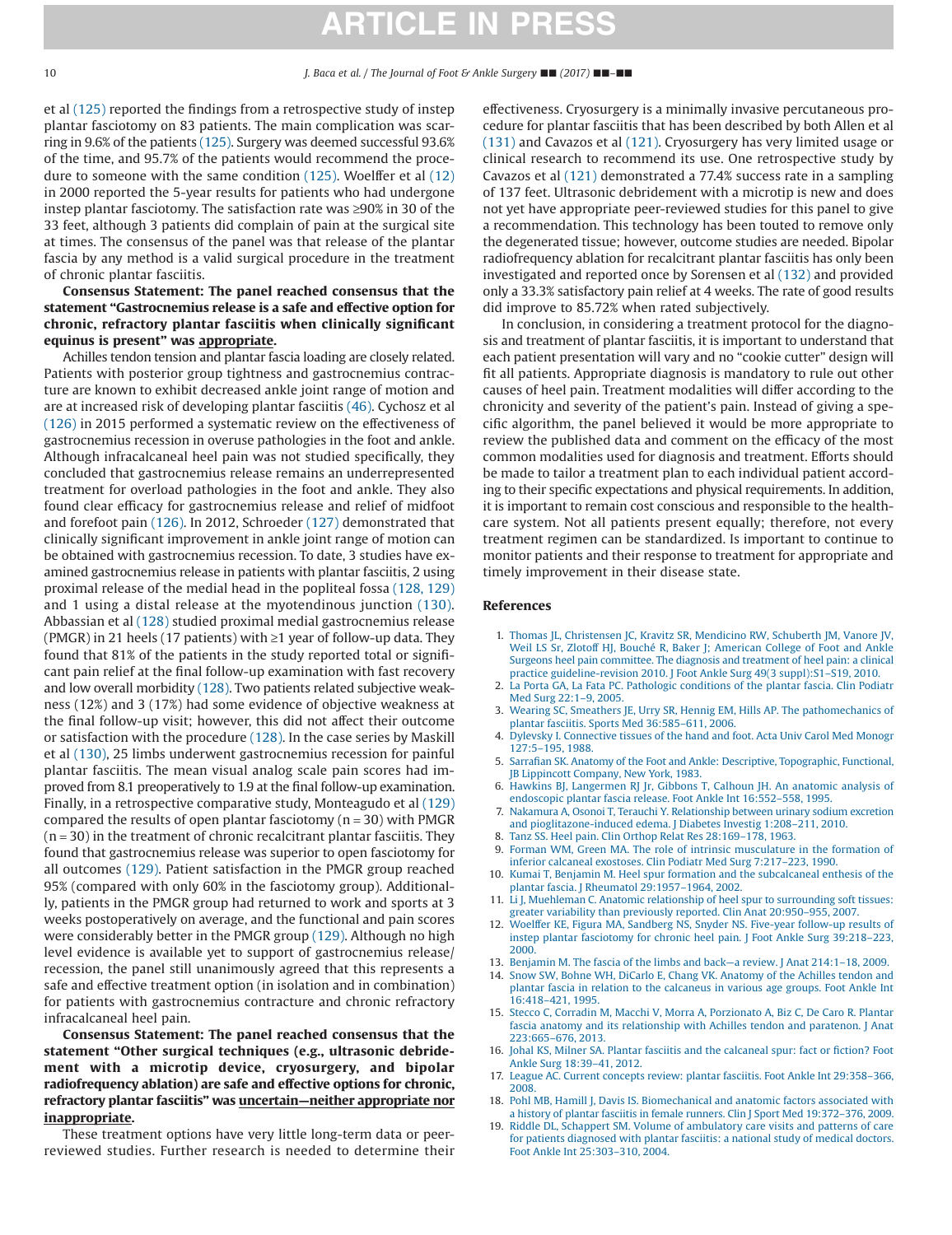et al [\(125\)](#page-11-24) reported the findings from a retrospective study of instep plantar fasciotomy on 83 patients. The main complication was scarring in 9.6% of the patients [\(125\).](#page-11-24) Surgery was deemed successful 93.6% of the time, and 95.7% of the patients would recommend the procedure to someone with the same condition [\(125\).](#page-11-24) Woelffer et al [\(12\)](#page-9-9) in 2000 reported the 5-year results for patients who had undergone instep plantar fasciotomy. The satisfaction rate was ≥90% in 30 of the 33 feet, although 3 patients did complain of pain at the surgical site at times. The consensus of the panel was that release of the plantar fascia by any method is a valid surgical procedure in the treatment of chronic plantar fasciitis.

### **Consensus Statement: The panel reached consensus that the statement "Gastrocnemius release is a safe and effective option for chronic, refractory plantar fasciitis when clinically significant equinus is present" was appropriate.**

Achilles tendon tension and plantar fascia loading are closely related. Patients with posterior group tightness and gastrocnemius contracture are known to exhibit decreased ankle joint range of motion and are at increased risk of developing plantar fasciitis [\(46\).](#page-10-9) Cychosz et al [\(126\)](#page-11-25) in 2015 performed a systematic review on the effectiveness of gastrocnemius recession in overuse pathologies in the foot and ankle. Although infracalcaneal heel pain was not studied specifically, they concluded that gastrocnemius release remains an underrepresented treatment for overload pathologies in the foot and ankle. They also found clear efficacy for gastrocnemius release and relief of midfoot and forefoot pain [\(126\).](#page-11-25) In 2012, Schroeder [\(127\)](#page-11-26) demonstrated that clinically significant improvement in ankle joint range of motion can be obtained with gastrocnemius recession. To date, 3 studies have examined gastrocnemius release in patients with plantar fasciitis, 2 using proximal release of the medial head in the popliteal fossa [\(128, 129\)](#page-11-27) and 1 using a distal release at the myotendinous junction [\(130\).](#page-11-28) Abbassian et al [\(128\)](#page-11-27) studied proximal medial gastrocnemius release (PMGR) in 21 heels (17 patients) with ≥1 year of follow-up data. They found that 81% of the patients in the study reported total or significant pain relief at the final follow-up examination with fast recovery and low overall morbidity [\(128\).](#page-11-27) Two patients related subjective weakness (12%) and 3 (17%) had some evidence of objective weakness at the final follow-up visit; however, this did not affect their outcome or satisfaction with the procedure [\(128\).](#page-11-27) In the case series by Maskill et al [\(130\),](#page-11-28) 25 limbs underwent gastrocnemius recession for painful plantar fasciitis. The mean visual analog scale pain scores had improved from 8.1 preoperatively to 1.9 at the final follow-up examination. Finally, in a retrospective comparative study, Monteagudo et al [\(129\)](#page-11-29) compared the results of open plantar fasciotomy ( $n = 30$ ) with PMGR  $(n = 30)$  in the treatment of chronic recalcitrant plantar fasciitis. They found that gastrocnemius release was superior to open fasciotomy for all outcomes [\(129\).](#page-11-29) Patient satisfaction in the PMGR group reached 95% (compared with only 60% in the fasciotomy group). Additionally, patients in the PMGR group had returned to work and sports at 3 weeks postoperatively on average, and the functional and pain scores were considerably better in the PMGR group [\(129\).](#page-11-29) Although no high level evidence is available yet to support of gastrocnemius release/ recession, the panel still unanimously agreed that this represents a safe and effective treatment option (in isolation and in combination) for patients with gastrocnemius contracture and chronic refractory infracalcaneal heel pain.

**Consensus Statement: The panel reached consensus that the statement "Other surgical techniques (e.g., ultrasonic debridement with a microtip device, cryosurgery, and bipolar radiofrequency ablation) are safe and effective options for chronic, refractory plantar fasciitis" was uncertain—neither appropriate nor inappropriate.**

These treatment options have very little long-term data or peerreviewed studies. Further research is needed to determine their effectiveness. Cryosurgery is a minimally invasive percutaneous procedure for plantar fasciitis that has been described by both Allen et al [\(131\)](#page-11-30) and Cavazos et al [\(121\).](#page-11-31) Cryosurgery has very limited usage or clinical research to recommend its use. One retrospective study by Cavazos et al [\(121\)](#page-11-31) demonstrated a 77.4% success rate in a sampling of 137 feet. Ultrasonic debridement with a microtip is new and does not yet have appropriate peer-reviewed studies for this panel to give a recommendation. This technology has been touted to remove only the degenerated tissue; however, outcome studies are needed. Bipolar radiofrequency ablation for recalcitrant plantar fasciitis has only been investigated and reported once by Sorensen et al [\(132\)](#page-11-32) and provided only a 33.3% satisfactory pain relief at 4 weeks. The rate of good results did improve to 85.72% when rated subjectively.

In conclusion, in considering a treatment protocol for the diagnosis and treatment of plantar fasciitis, it is important to understand that each patient presentation will vary and no "cookie cutter" design will fit all patients. Appropriate diagnosis is mandatory to rule out other causes of heel pain. Treatment modalities will differ according to the chronicity and severity of the patient's pain. Instead of giving a specific algorithm, the panel believed it would be more appropriate to review the published data and comment on the efficacy of the most common modalities used for diagnosis and treatment. Efforts should be made to tailor a treatment plan to each individual patient according to their specific expectations and physical requirements. In addition, it is important to remain cost conscious and responsible to the healthcare system. Not all patients present equally; therefore, not every treatment regimen can be standardized. Is important to continue to monitor patients and their response to treatment for appropriate and timely improvement in their disease state.

### **References**

- <span id="page-9-0"></span>1. [Thomas JL, Christensen JC, Kravitz SR, Mendicino RW, Schuberth JM, Vanore JV,](http://refhub.elsevier.com/S1067-2516(17)30619-1/sr0010) [Weil LS Sr, Zlotoff HJ, Bouché R, Baker J; American College of Foot and Ankle](http://refhub.elsevier.com/S1067-2516(17)30619-1/sr0010) [Surgeons heel pain committee. The diagnosis and treatment of heel pain: a clinical](http://refhub.elsevier.com/S1067-2516(17)30619-1/sr0010) [practice guideline-revision 2010. J Foot Ankle Surg 49\(3 suppl\):S1–S19, 2010.](http://refhub.elsevier.com/S1067-2516(17)30619-1/sr0010)
- <span id="page-9-1"></span>2. [La Porta GA, La Fata PC. Pathologic conditions of the plantar fascia. Clin Podiatr](http://refhub.elsevier.com/S1067-2516(17)30619-1/sr0015) [Med Surg 22:1–9, 2005.](http://refhub.elsevier.com/S1067-2516(17)30619-1/sr0015)
- <span id="page-9-2"></span>3. [Wearing SC, Smeathers JE, Urry SR, Hennig EM, Hills AP. The pathomechanics of](http://refhub.elsevier.com/S1067-2516(17)30619-1/sr0020) [plantar fasciitis. Sports Med 36:585–611, 2006.](http://refhub.elsevier.com/S1067-2516(17)30619-1/sr0020)
- <span id="page-9-3"></span>4. [Dylevsky I. Connective tissues of the hand and foot. Acta Univ Carol Med Monogr](http://refhub.elsevier.com/S1067-2516(17)30619-1/sr0025) [127:5–195, 1988.](http://refhub.elsevier.com/S1067-2516(17)30619-1/sr0025)
- <span id="page-9-5"></span>5. [Sarrafian SK. Anatomy of the Foot and Ankle: Descriptive, Topographic, Functional,](http://refhub.elsevier.com/S1067-2516(17)30619-1/sr0030) [JB Lippincott Company, New York, 1983.](http://refhub.elsevier.com/S1067-2516(17)30619-1/sr0030)
- <span id="page-9-4"></span>6. [Hawkins BJ, Langermen RJ Jr, Gibbons T, Calhoun JH. An anatomic analysis of](http://refhub.elsevier.com/S1067-2516(17)30619-1/sr0035) [endoscopic plantar fascia release. Foot Ankle Int 16:552–558, 1995.](http://refhub.elsevier.com/S1067-2516(17)30619-1/sr0035)
- <span id="page-9-6"></span>7. [Nakamura A, Osonoi T, Terauchi Y. Relationship between urinary sodium excretion](http://refhub.elsevier.com/S1067-2516(17)30619-1/sr0040) [and pioglitazone-induced edema. J Diabetes Investig 1:208–211, 2010.](http://refhub.elsevier.com/S1067-2516(17)30619-1/sr0040)
- <span id="page-9-7"></span>8. [Tanz SS. Heel pain. Clin Orthop Relat Res 28:169–178, 1963.](http://refhub.elsevier.com/S1067-2516(17)30619-1/sr0045)
- <span id="page-9-8"></span>9. [Forman WM, Green MA. The role of intrinsic musculature in the formation of](http://refhub.elsevier.com/S1067-2516(17)30619-1/sr0050) [inferior calcaneal exostoses. Clin Podiatr Med Surg 7:217–223, 1990.](http://refhub.elsevier.com/S1067-2516(17)30619-1/sr0050)
- <span id="page-9-17"></span>10. [Kumai T, Benjamin M. Heel spur formation and the subcalcaneal enthesis of the](http://refhub.elsevier.com/S1067-2516(17)30619-1/sr0055) [plantar fascia. J Rheumatol 29:1957–1964, 2002.](http://refhub.elsevier.com/S1067-2516(17)30619-1/sr0055)
- 11. [Li J, Muehleman C. Anatomic relationship of heel spur to surrounding soft tissues:](http://refhub.elsevier.com/S1067-2516(17)30619-1/sr0060) [greater variability than previously reported. Clin Anat 20:950–955, 2007.](http://refhub.elsevier.com/S1067-2516(17)30619-1/sr0060)
- <span id="page-9-9"></span>12. [Woelffer KE, Figura MA, Sandberg NS, Snyder NS. Five-year follow-up results of](http://refhub.elsevier.com/S1067-2516(17)30619-1/sr0065) [instep plantar fasciotomy for chronic heel pain. J Foot Ankle Surg 39:218–223,](http://refhub.elsevier.com/S1067-2516(17)30619-1/sr0065) [2000.](http://refhub.elsevier.com/S1067-2516(17)30619-1/sr0065)
- <span id="page-9-11"></span><span id="page-9-10"></span>13. [Benjamin M. The fascia of the limbs and back—a review. J Anat 214:1–18, 2009.](http://refhub.elsevier.com/S1067-2516(17)30619-1/sr0070)
- 14. [Snow SW, Bohne WH, DiCarlo E, Chang VK. Anatomy of the Achilles tendon and](http://refhub.elsevier.com/S1067-2516(17)30619-1/sr0075) [plantar fascia in relation to the calcaneus in various age groups. Foot Ankle Int](http://refhub.elsevier.com/S1067-2516(17)30619-1/sr0075) [16:418–421, 1995.](http://refhub.elsevier.com/S1067-2516(17)30619-1/sr0075)
- <span id="page-9-12"></span>15. [Stecco C, Corradin M, Macchi V, Morra A, Porzionato A, Biz C, De Caro R. Plantar](http://refhub.elsevier.com/S1067-2516(17)30619-1/sr0080) [fascia anatomy and its relationship with Achilles tendon and paratenon. J Anat](http://refhub.elsevier.com/S1067-2516(17)30619-1/sr0080) [223:665–676, 2013.](http://refhub.elsevier.com/S1067-2516(17)30619-1/sr0080)
- <span id="page-9-13"></span>16. [Johal KS, Milner SA. Plantar fasciitis and the calcaneal spur: fact or fiction? Foot](http://refhub.elsevier.com/S1067-2516(17)30619-1/sr0085) [Ankle Surg 18:39–41, 2012.](http://refhub.elsevier.com/S1067-2516(17)30619-1/sr0085)
- <span id="page-9-15"></span>17. [League AC. Current concepts review: plantar fasciitis. Foot Ankle Int 29:358–366,](http://refhub.elsevier.com/S1067-2516(17)30619-1/sr0090) [2008.](http://refhub.elsevier.com/S1067-2516(17)30619-1/sr0090)
- <span id="page-9-16"></span>18. [Pohl MB, Hamill J, Davis IS. Biomechanical and anatomic factors associated with](http://refhub.elsevier.com/S1067-2516(17)30619-1/sr0095) [a history of plantar fasciitis in female runners. Clin J Sport Med 19:372–376, 2009.](http://refhub.elsevier.com/S1067-2516(17)30619-1/sr0095)
- <span id="page-9-14"></span>19. [Riddle DL, Schappert SM. Volume of ambulatory care visits and patterns of care](http://refhub.elsevier.com/S1067-2516(17)30619-1/sr0100) [for patients diagnosed with plantar fasciitis: a national study of medical doctors.](http://refhub.elsevier.com/S1067-2516(17)30619-1/sr0100) [Foot Ankle Int 25:303–310, 2004.](http://refhub.elsevier.com/S1067-2516(17)30619-1/sr0100)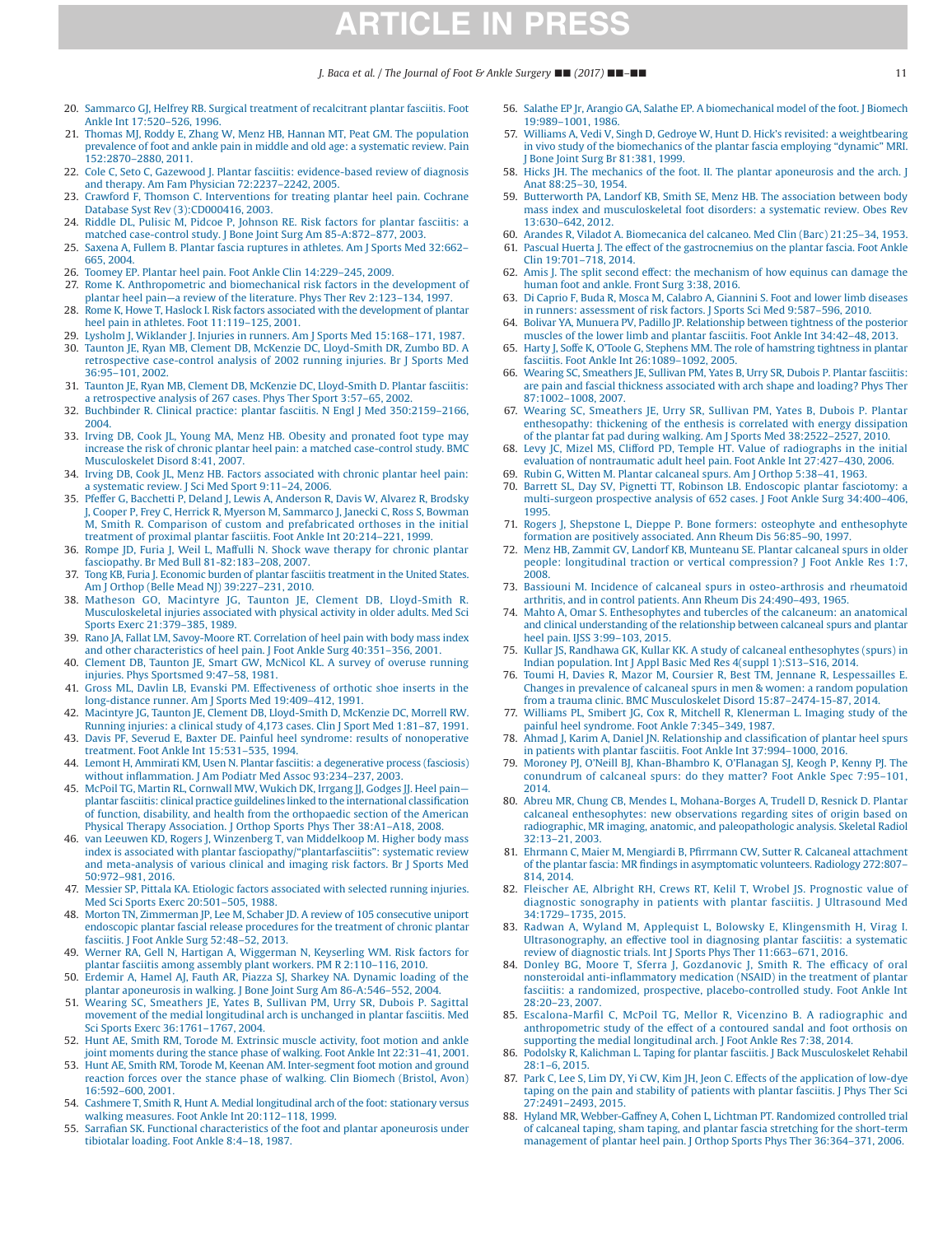#### *J. Baca et al. / The Journal of Foot & Ankle Surgery* ■■ *(2017)* ■■*–*■■ 11

- 20. [Sammarco GJ, Helfrey RB. Surgical treatment of recalcitrant plantar fasciitis. Foot](http://refhub.elsevier.com/S1067-2516(17)30619-1/sr0105) [Ankle Int 17:520–526, 1996.](http://refhub.elsevier.com/S1067-2516(17)30619-1/sr0105)
- 21. [Thomas MJ, Roddy E, Zhang W, Menz HB, Hannan MT, Peat GM. The population](http://refhub.elsevier.com/S1067-2516(17)30619-1/sr0110) [prevalence of foot and ankle pain in middle and old age: a systematic review. Pain](http://refhub.elsevier.com/S1067-2516(17)30619-1/sr0110) [152:2870–2880, 2011.](http://refhub.elsevier.com/S1067-2516(17)30619-1/sr0110)
- <span id="page-10-0"></span>22. [Cole C, Seto C, Gazewood J. Plantar fasciitis: evidence-based review of diagnosis](http://refhub.elsevier.com/S1067-2516(17)30619-1/sr0115) [and therapy. Am Fam Physician 72:2237–2242, 2005.](http://refhub.elsevier.com/S1067-2516(17)30619-1/sr0115)
- 23. [Crawford F, Thomson C. Interventions for treating plantar heel pain. Cochrane](http://refhub.elsevier.com/S1067-2516(17)30619-1/sr0120) [Database Syst Rev \(3\):CD000416, 2003.](http://refhub.elsevier.com/S1067-2516(17)30619-1/sr0120)
- <span id="page-10-6"></span>24. [Riddle DL, Pulisic M, Pidcoe P, Johnson RE. Risk factors for plantar fasciitis: a](http://refhub.elsevier.com/S1067-2516(17)30619-1/sr0125) [matched case-control study. J Bone Joint Surg Am 85-A:872–877, 2003.](http://refhub.elsevier.com/S1067-2516(17)30619-1/sr0125)
- 25. [Saxena A, Fullem B. Plantar fascia ruptures in athletes. Am J Sports Med 32:662–](http://refhub.elsevier.com/S1067-2516(17)30619-1/sr0130) [665, 2004.](http://refhub.elsevier.com/S1067-2516(17)30619-1/sr0130)
- 26. [Toomey EP. Plantar heel pain. Foot Ankle Clin 14:229–245, 2009.](http://refhub.elsevier.com/S1067-2516(17)30619-1/sr0135)
- <span id="page-10-1"></span>27. [Rome K. Anthropometric and biomechanical risk factors in the development of](http://refhub.elsevier.com/S1067-2516(17)30619-1/sr0140) [plantar heel pain—a review of the literature. Phys Ther Rev 2:123–134, 1997.](http://refhub.elsevier.com/S1067-2516(17)30619-1/sr0140)
- <span id="page-10-20"></span>28. [Rome K, Howe T, Haslock I. Risk factors associated with the development of plantar](http://refhub.elsevier.com/S1067-2516(17)30619-1/sr0145) [heel pain in athletes. Foot 11:119–125, 2001.](http://refhub.elsevier.com/S1067-2516(17)30619-1/sr0145)
- 29. [Lysholm J, Wiklander J. Injuries in runners. Am J Sports Med 15:168–171, 1987.](http://refhub.elsevier.com/S1067-2516(17)30619-1/sr0150)
- <span id="page-10-5"></span>30. [Taunton JE, Ryan MB, Clement DB, McKenzie DC, Lloyd-Smith DR, Zumbo BD. A](http://refhub.elsevier.com/S1067-2516(17)30619-1/sr0155) [retrospective case-control analysis of 2002 running injuries. Br J Sports Med](http://refhub.elsevier.com/S1067-2516(17)30619-1/sr0155) [36:95–101, 2002.](http://refhub.elsevier.com/S1067-2516(17)30619-1/sr0155)
- <span id="page-10-7"></span>31. [Taunton JE, Ryan MB, Clement DB, McKenzie DC, Lloyd-Smith D. Plantar fasciitis:](http://refhub.elsevier.com/S1067-2516(17)30619-1/sr0160) [a retrospective analysis of 267 cases. Phys Ther Sport 3:57–65, 2002.](http://refhub.elsevier.com/S1067-2516(17)30619-1/sr0160)
- 32. [Buchbinder R. Clinical practice: plantar fasciitis. N Engl J Med 350:2159–2166,](http://refhub.elsevier.com/S1067-2516(17)30619-1/sr0165) [2004.](http://refhub.elsevier.com/S1067-2516(17)30619-1/sr0165)
- <span id="page-10-11"></span>33. [Irving DB, Cook JL, Young MA, Menz HB. Obesity and pronated foot type may](http://refhub.elsevier.com/S1067-2516(17)30619-1/sr0170) [increase the risk of chronic plantar heel pain: a matched case-control study. BMC](http://refhub.elsevier.com/S1067-2516(17)30619-1/sr0170) [Musculoskelet Disord 8:41, 2007.](http://refhub.elsevier.com/S1067-2516(17)30619-1/sr0170)
- 34. [Irving DB, Cook JL, Menz HB. Factors associated with chronic plantar heel pain:](http://refhub.elsevier.com/S1067-2516(17)30619-1/sr0175) [a systematic review. J Sci Med Sport 9:11–24, 2006.](http://refhub.elsevier.com/S1067-2516(17)30619-1/sr0175)
- <span id="page-10-39"></span>35. [Pfeffer G, Bacchetti P, Deland J, Lewis A, Anderson R, Davis W, Alvarez R, Brodsky](http://refhub.elsevier.com/S1067-2516(17)30619-1/sr0180) [J, Cooper P, Frey C, Herrick R, Myerson M, Sammarco J, Janecki C, Ross S, Bowman](http://refhub.elsevier.com/S1067-2516(17)30619-1/sr0180) [M, Smith R. Comparison of custom and prefabricated orthoses in the initial](http://refhub.elsevier.com/S1067-2516(17)30619-1/sr0180) [treatment of proximal plantar fasciitis. Foot Ankle Int 20:214–221, 1999.](http://refhub.elsevier.com/S1067-2516(17)30619-1/sr0180)
- 36. [Rompe JD, Furia J, Weil L, Maffulli N. Shock wave therapy for chronic plantar](http://refhub.elsevier.com/S1067-2516(17)30619-1/sr0185) [fasciopathy. Br Med Bull 81-82:183–208, 2007.](http://refhub.elsevier.com/S1067-2516(17)30619-1/sr0185)
- <span id="page-10-2"></span>37. [Tong KB, Furia J. Economic burden of plantar fasciitis treatment in the United States.](http://refhub.elsevier.com/S1067-2516(17)30619-1/sr0190) [Am J Orthop \(Belle Mead NJ\) 39:227–231, 2010.](http://refhub.elsevier.com/S1067-2516(17)30619-1/sr0190)
- <span id="page-10-3"></span>38. [Matheson GO, Macintyre JG, Taunton JE, Clement DB, Lloyd-Smith R.](http://refhub.elsevier.com/S1067-2516(17)30619-1/sr0195) [Musculoskeletal injuries associated with physical activity in older adults. Med Sci](http://refhub.elsevier.com/S1067-2516(17)30619-1/sr0195) [Sports Exerc 21:379–385, 1989.](http://refhub.elsevier.com/S1067-2516(17)30619-1/sr0195)
- <span id="page-10-4"></span>39. [Rano JA, Fallat LM, Savoy-Moore RT. Correlation of heel pain with body mass index](http://refhub.elsevier.com/S1067-2516(17)30619-1/sr0200) [and other characteristics of heel pain. J Foot Ankle Surg 40:351–356, 2001.](http://refhub.elsevier.com/S1067-2516(17)30619-1/sr0200)
- 40. [Clement DB, Taunton JE, Smart GW, McNicol KL. A survey of overuse running](http://refhub.elsevier.com/S1067-2516(17)30619-1/sr0205) [injuries. Phys Sportsmed 9:47–58, 1981.](http://refhub.elsevier.com/S1067-2516(17)30619-1/sr0205)
- 41. [Gross ML, Davlin LB, Evanski PM. Effectiveness of orthotic shoe inserts in the](http://refhub.elsevier.com/S1067-2516(17)30619-1/sr0210) [long-distance runner. Am J Sports Med 19:409–412, 1991.](http://refhub.elsevier.com/S1067-2516(17)30619-1/sr0210)
- 42. [Macintyre JG, Taunton JE, Clement DB, Lloyd-Smith D, McKenzie DC, Morrell RW.](http://refhub.elsevier.com/S1067-2516(17)30619-1/sr0215) [Running injuries: a clinical study of 4,173 cases. Clin J Sport Med 1:81–87, 1991.](http://refhub.elsevier.com/S1067-2516(17)30619-1/sr0215)
- <span id="page-10-8"></span>43. [Davis PF, Severud E, Baxter DE. Painful heel syndrome: results of nonoperative](http://refhub.elsevier.com/S1067-2516(17)30619-1/sr0220) [treatment. Foot Ankle Int 15:531–535, 1994.](http://refhub.elsevier.com/S1067-2516(17)30619-1/sr0220)
- 44. [Lemont H, Ammirati KM, Usen N. Plantar fasciitis: a degenerative process \(fasciosis\)](http://refhub.elsevier.com/S1067-2516(17)30619-1/sr0225) [without inflammation. J Am Podiatr Med Assoc 93:234–237, 2003.](http://refhub.elsevier.com/S1067-2516(17)30619-1/sr0225)
- 45. [McPoil TG, Martin RL, Cornwall MW, Wukich DK, Irrgang JJ, Godges JJ. Heel pain](http://refhub.elsevier.com/S1067-2516(17)30619-1/sr0230) [plantar fasciitis: clinical practice guildelines linked to the international classification](http://refhub.elsevier.com/S1067-2516(17)30619-1/sr0230) [of function, disability, and health from the orthopaedic section of the American](http://refhub.elsevier.com/S1067-2516(17)30619-1/sr0230) [Physical Therapy Association. J Orthop Sports Phys Ther 38:A1–A18, 2008.](http://refhub.elsevier.com/S1067-2516(17)30619-1/sr0230)
- <span id="page-10-9"></span>46. [van Leeuwen KD, Rogers J, Winzenberg T, van Middelkoop M. Higher body mass](http://refhub.elsevier.com/S1067-2516(17)30619-1/sr0235) [index is associated with plantar fasciopathy/"plantarfasciitis": systematic review](http://refhub.elsevier.com/S1067-2516(17)30619-1/sr0235) [and meta-analysis of various clinical and imaging risk factors. Br J Sports Med](http://refhub.elsevier.com/S1067-2516(17)30619-1/sr0235) [50:972–981, 2016.](http://refhub.elsevier.com/S1067-2516(17)30619-1/sr0235)
- 47. [Messier SP, Pittala KA. Etiologic factors associated with selected running injuries.](http://refhub.elsevier.com/S1067-2516(17)30619-1/sr0240) [Med Sci Sports Exerc 20:501–505, 1988.](http://refhub.elsevier.com/S1067-2516(17)30619-1/sr0240)
- <span id="page-10-10"></span>48. [Morton TN, Zimmerman JP, Lee M, Schaber JD. A review of 105 consecutive uniport](http://refhub.elsevier.com/S1067-2516(17)30619-1/sr0245) [endoscopic plantar fascial release procedures for the treatment of chronic plantar](http://refhub.elsevier.com/S1067-2516(17)30619-1/sr0245) [fasciitis. J Foot Ankle Surg 52:48–52, 2013.](http://refhub.elsevier.com/S1067-2516(17)30619-1/sr0245)
- 49. [Werner RA, Gell N, Hartigan A, Wiggerman N, Keyserling WM. Risk factors for](http://refhub.elsevier.com/S1067-2516(17)30619-1/sr0250) [plantar fasciitis among assembly plant workers. PM R 2:110–116, 2010.](http://refhub.elsevier.com/S1067-2516(17)30619-1/sr0250)
- <span id="page-10-12"></span>50. [Erdemir A, Hamel AJ, Fauth AR, Piazza SJ, Sharkey NA. Dynamic loading of the](http://refhub.elsevier.com/S1067-2516(17)30619-1/sr0255) [plantar aponeurosis in walking. J Bone Joint Surg Am 86-A:546–552, 2004.](http://refhub.elsevier.com/S1067-2516(17)30619-1/sr0255)
- 51. [Wearing SC, Smeathers JE, Yates B, Sullivan PM, Urry SR, Dubois P. Sagittal](http://refhub.elsevier.com/S1067-2516(17)30619-1/sr0260) [movement of the medial longitudinal arch is unchanged in plantar fasciitis. Med](http://refhub.elsevier.com/S1067-2516(17)30619-1/sr0260) [Sci Sports Exerc 36:1761–1767, 2004.](http://refhub.elsevier.com/S1067-2516(17)30619-1/sr0260)
- 52. [Hunt AE, Smith RM, Torode M. Extrinsic muscle activity, foot motion and ankle](http://refhub.elsevier.com/S1067-2516(17)30619-1/sr0265) oint moments during the stance phase of walking. Foot Ankle Int 22:31-41, 2001.
- 53. [Hunt AE, Smith RM, Torode M, Keenan AM. Inter-segment foot motion and ground](http://refhub.elsevier.com/S1067-2516(17)30619-1/sr0270) [reaction forces over the stance phase of walking. Clin Biomech \(Bristol, Avon\)](http://refhub.elsevier.com/S1067-2516(17)30619-1/sr0270) [16:592–600, 2001.](http://refhub.elsevier.com/S1067-2516(17)30619-1/sr0270)
- 54. [Cashmere T, Smith R, Hunt A. Medial longitudinal arch of the foot: stationary versus](http://refhub.elsevier.com/S1067-2516(17)30619-1/sr0275) [walking measures. Foot Ankle Int 20:112–118, 1999.](http://refhub.elsevier.com/S1067-2516(17)30619-1/sr0275)
- <span id="page-10-13"></span>55. [Sarrafian SK. Functional characteristics of the foot and plantar aponeurosis under](http://refhub.elsevier.com/S1067-2516(17)30619-1/sr0280) [tibiotalar loading. Foot Ankle 8:4–18, 1987.](http://refhub.elsevier.com/S1067-2516(17)30619-1/sr0280)
- <span id="page-10-14"></span>56. [Salathe EP Jr, Arangio GA, Salathe EP. A biomechanical model of the foot. J Biomech](http://refhub.elsevier.com/S1067-2516(17)30619-1/sr0285) [19:989–1001, 1986.](http://refhub.elsevier.com/S1067-2516(17)30619-1/sr0285)
- 57. [Williams A, Vedi V, Singh D, Gedroye W, Hunt D. Hick's revisited: a weightbearing](http://refhub.elsevier.com/S1067-2516(17)30619-1/sr0290) [in vivo study of the biomechanics of the plantar fascia employing "dynamic" MRI.](http://refhub.elsevier.com/S1067-2516(17)30619-1/sr0290) [J Bone Joint Surg Br 81:381, 1999.](http://refhub.elsevier.com/S1067-2516(17)30619-1/sr0290)
- 58. [Hicks JH. The mechanics of the foot. II. The plantar aponeurosis and the arch. J](http://refhub.elsevier.com/S1067-2516(17)30619-1/sr0295) [Anat 88:25–30, 1954.](http://refhub.elsevier.com/S1067-2516(17)30619-1/sr0295)
- <span id="page-10-15"></span>[Butterworth PA, Landorf KB, Smith SE, Menz HB. The association between body](http://refhub.elsevier.com/S1067-2516(17)30619-1/sr0300) [mass index and musculoskeletal foot disorders: a systematic review. Obes Rev](http://refhub.elsevier.com/S1067-2516(17)30619-1/sr0300) [13:630–642, 2012.](http://refhub.elsevier.com/S1067-2516(17)30619-1/sr0300)
- <span id="page-10-17"></span><span id="page-10-16"></span>60. [Arandes R, Viladot A. Biomecanica del calcaneo. Med Clin \(Barc\) 21:25–34, 1953.](http://refhub.elsevier.com/S1067-2516(17)30619-1/sr0305) 61. [Pascual Huerta J. The effect of the gastrocnemius on the plantar fascia. Foot Ankle](http://refhub.elsevier.com/S1067-2516(17)30619-1/sr0310) [Clin 19:701–718, 2014.](http://refhub.elsevier.com/S1067-2516(17)30619-1/sr0310)
- 62. [Amis J. The split second effect: the mechanism of how equinus can damage the](http://refhub.elsevier.com/S1067-2516(17)30619-1/sr0315) [human foot and ankle. Front Surg 3:38, 2016.](http://refhub.elsevier.com/S1067-2516(17)30619-1/sr0315)
- <span id="page-10-18"></span>63. [Di Caprio F, Buda R, Mosca M, Calabro A, Giannini S. Foot and lower limb diseases](http://refhub.elsevier.com/S1067-2516(17)30619-1/sr0320) [in runners: assessment of risk factors. J Sports Sci Med 9:587–596, 2010.](http://refhub.elsevier.com/S1067-2516(17)30619-1/sr0320)
- <span id="page-10-19"></span>64. [Bolivar YA, Munuera PV, Padillo JP. Relationship between tightness of the posterior](http://refhub.elsevier.com/S1067-2516(17)30619-1/sr0325) [muscles of the lower limb and plantar fasciitis. Foot Ankle Int 34:42–48, 2013.](http://refhub.elsevier.com/S1067-2516(17)30619-1/sr0325)
- 65. [Harty J, Soffe K, O'Toole G, Stephens MM. The role of hamstring tightness in plantar](http://refhub.elsevier.com/S1067-2516(17)30619-1/sr0330) [fasciitis. Foot Ankle Int 26:1089–1092, 2005.](http://refhub.elsevier.com/S1067-2516(17)30619-1/sr0330)
- 66. [Wearing SC, Smeathers JE, Sullivan PM, Yates B, Urry SR, Dubois P. Plantar fasciitis:](http://refhub.elsevier.com/S1067-2516(17)30619-1/sr0335) [are pain and fascial thickness associated with arch shape and loading? Phys Ther](http://refhub.elsevier.com/S1067-2516(17)30619-1/sr0335) [87:1002–1008, 2007.](http://refhub.elsevier.com/S1067-2516(17)30619-1/sr0335)
- 67. [Wearing SC, Smeathers JE, Urry SR, Sullivan PM, Yates B, Dubois P. Plantar](http://refhub.elsevier.com/S1067-2516(17)30619-1/sr0340) [enthesopathy: thickening of the enthesis is correlated with energy dissipation](http://refhub.elsevier.com/S1067-2516(17)30619-1/sr0340) [of the plantar fat pad during walking. Am J Sports Med 38:2522–2527, 2010.](http://refhub.elsevier.com/S1067-2516(17)30619-1/sr0340)
- <span id="page-10-21"></span>68. [Levy JC, Mizel MS, Clifford PD, Temple HT. Value of radiographs in the initial](http://refhub.elsevier.com/S1067-2516(17)30619-1/sr0345) [evaluation of nontraumatic adult heel pain. Foot Ankle Int 27:427–430, 2006.](http://refhub.elsevier.com/S1067-2516(17)30619-1/sr0345)
- <span id="page-10-22"></span>69. [Rubin G, Witten M. Plantar calcaneal spurs. Am J Orthop 5:38–41, 1963.](http://refhub.elsevier.com/S1067-2516(17)30619-1/sr0350)
- <span id="page-10-23"></span>70. [Barrett SL, Day SV, Pignetti TT, Robinson LB. Endoscopic plantar fasciotomy: a](http://refhub.elsevier.com/S1067-2516(17)30619-1/sr0355) [multi-surgeon prospective analysis of 652 cases. J Foot Ankle Surg 34:400–406,](http://refhub.elsevier.com/S1067-2516(17)30619-1/sr0355) [1995.](http://refhub.elsevier.com/S1067-2516(17)30619-1/sr0355)
- <span id="page-10-24"></span>71. [Rogers J, Shepstone L, Dieppe P. Bone formers: osteophyte and enthesophyte](http://refhub.elsevier.com/S1067-2516(17)30619-1/sr0360) [formation are positively associated. Ann Rheum Dis 56:85–90, 1997.](http://refhub.elsevier.com/S1067-2516(17)30619-1/sr0360)
- <span id="page-10-25"></span>72. [Menz HB, Zammit GV, Landorf KB, Munteanu SE. Plantar calcaneal spurs in older](http://refhub.elsevier.com/S1067-2516(17)30619-1/sr0365) [people: longitudinal traction or vertical compression? J Foot Ankle Res 1:7,](http://refhub.elsevier.com/S1067-2516(17)30619-1/sr0365) [2008.](http://refhub.elsevier.com/S1067-2516(17)30619-1/sr0365)
- <span id="page-10-26"></span>73. [Bassiouni M. Incidence of calcaneal spurs in osteo-arthrosis and rheumatoid](http://refhub.elsevier.com/S1067-2516(17)30619-1/sr0370) [arthritis, and in control patients. Ann Rheum Dis 24:490–493, 1965.](http://refhub.elsevier.com/S1067-2516(17)30619-1/sr0370)
- <span id="page-10-27"></span>74. [Mahto A, Omar S. Enthesophytes and tubercles of the calcaneum: an anatomical](http://refhub.elsevier.com/S1067-2516(17)30619-1/sr0375) [and clinical understanding of the relationship between calcaneal spurs and plantar](http://refhub.elsevier.com/S1067-2516(17)30619-1/sr0375) heel pain. IJSS 3:99-103, 2015.
- <span id="page-10-28"></span>75. [Kullar JS, Randhawa GK, Kullar KK. A study of calcaneal enthesophytes \(spurs\) in](http://refhub.elsevier.com/S1067-2516(17)30619-1/sr0380) [Indian population. Int J Appl Basic Med Res 4\(suppl 1\):S13–S16, 2014.](http://refhub.elsevier.com/S1067-2516(17)30619-1/sr0380)
- <span id="page-10-29"></span>76. [Toumi H, Davies R, Mazor M, Coursier R, Best TM, Jennane R, Lespessailles E.](http://refhub.elsevier.com/S1067-2516(17)30619-1/sr0385) [Changes in prevalence of calcaneal spurs in men & women: a random population](http://refhub.elsevier.com/S1067-2516(17)30619-1/sr0385) [from a trauma clinic. BMC Musculoskelet Disord 15:87–2474-15-87, 2014.](http://refhub.elsevier.com/S1067-2516(17)30619-1/sr0385)
- <span id="page-10-30"></span>77. [Williams PL, Smibert JG, Cox R, Mitchell R, Klenerman L. Imaging study of the](http://refhub.elsevier.com/S1067-2516(17)30619-1/sr0390) [painful heel syndrome. Foot Ankle 7:345–349, 1987.](http://refhub.elsevier.com/S1067-2516(17)30619-1/sr0390)
- <span id="page-10-31"></span>78. [Ahmad J, Karim A, Daniel JN. Relationship and classification of plantar heel spurs](http://refhub.elsevier.com/S1067-2516(17)30619-1/sr0395) [in patients with plantar fasciitis. Foot Ankle Int 37:994–1000, 2016.](http://refhub.elsevier.com/S1067-2516(17)30619-1/sr0395)
- <span id="page-10-32"></span>79. [Moroney PJ, O'Neill BJ, Khan-Bhambro K, O'Flanagan SJ, Keogh P, Kenny PJ. The](http://refhub.elsevier.com/S1067-2516(17)30619-1/sr0400) [conundrum of calcaneal spurs: do they matter? Foot Ankle Spec 7:95–101,](http://refhub.elsevier.com/S1067-2516(17)30619-1/sr0400) [2014.](http://refhub.elsevier.com/S1067-2516(17)30619-1/sr0400)
- 80. [Abreu MR, Chung CB, Mendes L, Mohana-Borges A, Trudell D, Resnick D. Plantar](http://refhub.elsevier.com/S1067-2516(17)30619-1/sr0405) [calcaneal enthesophytes: new observations regarding sites of origin based on](http://refhub.elsevier.com/S1067-2516(17)30619-1/sr0405) [radiographic, MR imaging, anatomic, and paleopathologic analysis. Skeletal Radiol](http://refhub.elsevier.com/S1067-2516(17)30619-1/sr0405) [32:13–21, 2003.](http://refhub.elsevier.com/S1067-2516(17)30619-1/sr0405)
- <span id="page-10-33"></span>81. [Ehrmann C, Maier M, Mengiardi B, Pfirrmann CW, Sutter R. Calcaneal attachment](http://refhub.elsevier.com/S1067-2516(17)30619-1/sr0410) [of the plantar fascia: MR findings in asymptomatic volunteers. Radiology 272:807–](http://refhub.elsevier.com/S1067-2516(17)30619-1/sr0410) [814, 2014.](http://refhub.elsevier.com/S1067-2516(17)30619-1/sr0410)
- <span id="page-10-34"></span>82. [Fleischer AE, Albright RH, Crews RT, Kelil T, Wrobel JS. Prognostic value of](http://refhub.elsevier.com/S1067-2516(17)30619-1/sr0415) [diagnostic sonography in patients with plantar fasciitis. J Ultrasound Med](http://refhub.elsevier.com/S1067-2516(17)30619-1/sr0415) [34:1729–1735, 2015.](http://refhub.elsevier.com/S1067-2516(17)30619-1/sr0415)
- <span id="page-10-35"></span>83. [Radwan A, Wyland M, Applequist L, Bolowsky E, Klingensmith H, Virag I.](http://refhub.elsevier.com/S1067-2516(17)30619-1/sr0420) [Ultrasonography, an effective tool in diagnosing plantar fasciitis: a systematic](http://refhub.elsevier.com/S1067-2516(17)30619-1/sr0420) [review of diagnostic trials. Int J Sports Phys Ther 11:663–671, 2016.](http://refhub.elsevier.com/S1067-2516(17)30619-1/sr0420)
- <span id="page-10-36"></span>84. [Donley BG, Moore T, Sferra J, Gozdanovic J, Smith R. The efficacy of oral](http://refhub.elsevier.com/S1067-2516(17)30619-1/sr0425) [nonsteroidal anti-inflammatory medication \(NSAID\) in the treatment of plantar](http://refhub.elsevier.com/S1067-2516(17)30619-1/sr0425) [fasciitis: a randomized, prospective, placebo-controlled study. Foot Ankle Int](http://refhub.elsevier.com/S1067-2516(17)30619-1/sr0425) [28:20–23, 2007.](http://refhub.elsevier.com/S1067-2516(17)30619-1/sr0425)
- <span id="page-10-37"></span>85. [Escalona-Marfil C, McPoil TG, Mellor R, Vicenzino B. A radiographic and](http://refhub.elsevier.com/S1067-2516(17)30619-1/sr0430) [anthropometric study of the effect of a contoured sandal and foot orthosis on](http://refhub.elsevier.com/S1067-2516(17)30619-1/sr0430) [supporting the medial longitudinal arch. J Foot Ankle Res 7:38, 2014.](http://refhub.elsevier.com/S1067-2516(17)30619-1/sr0430)
- <span id="page-10-38"></span>86. [Podolsky R, Kalichman L. Taping for plantar fasciitis. J Back Musculoskelet Rehabil](http://refhub.elsevier.com/S1067-2516(17)30619-1/sr0435) [28:1–6, 2015.](http://refhub.elsevier.com/S1067-2516(17)30619-1/sr0435)
- 87. [Park C, Lee S, Lim DY, Yi CW, Kim JH, Jeon C. Effects of the application of low-dye](http://refhub.elsevier.com/S1067-2516(17)30619-1/sr0440) [taping on the pain and stability of patients with plantar fasciitis. J Phys Ther Sci](http://refhub.elsevier.com/S1067-2516(17)30619-1/sr0440) [27:2491–2493, 2015.](http://refhub.elsevier.com/S1067-2516(17)30619-1/sr0440)
- 88. [Hyland MR, Webber-Gaffney A, Cohen L, Lichtman PT. Randomized controlled trial](http://refhub.elsevier.com/S1067-2516(17)30619-1/sr0445) [of calcaneal taping, sham taping, and plantar fascia stretching for the short-term](http://refhub.elsevier.com/S1067-2516(17)30619-1/sr0445) [management of plantar heel pain. J Orthop Sports Phys Ther 36:364–371, 2006.](http://refhub.elsevier.com/S1067-2516(17)30619-1/sr0445)